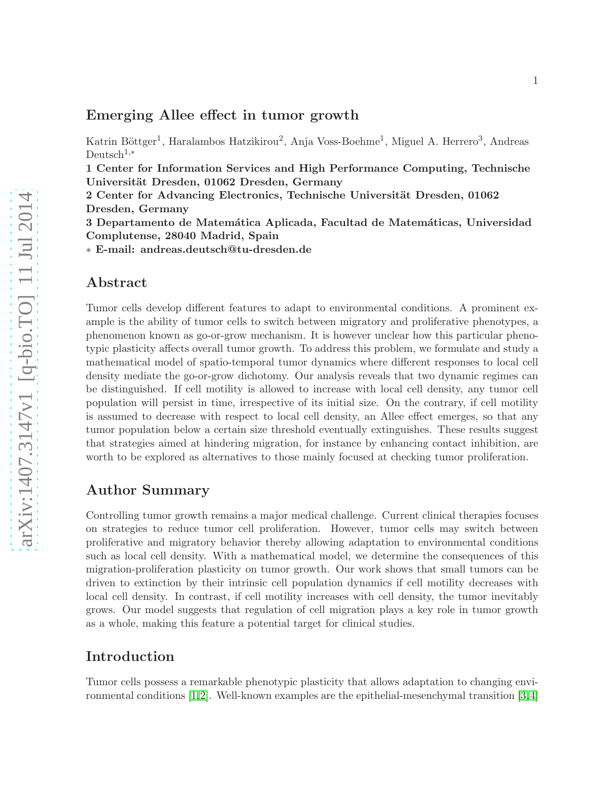### Emerging Allee effect in tumor growth

Katrin Böttger<sup>1</sup>, Haralambos Hatzikirou<sup>2</sup>, Anja Voss-Boehme<sup>1</sup>, Miguel A. Herrero<sup>3</sup>, Andreas Deutsch<sup>1,∗</sup>

1 Center for Information Services and High Performance Computing, Technische Universität Dresden, 01062 Dresden, Germany

2 Center for Advancing Electronics, Technische Universität Dresden, 01062 Dresden, Germany

3 Departamento de Matemática Aplicada, Facultad de Matemáticas, Universidad Complutense, 28040 Madrid, Spain

∗ E-mail: andreas.deutsch@tu-dresden.de

### Abstract

Tumor cells develop different features to adapt to environmental conditions. A prominent example is the ability of tumor cells to switch between migratory and proliferative phenotypes, a phenomenon known as go-or-grow mechanism. It is however unclear how this particular phenotypic plasticity affects overall tumor growth. To address this problem, we formulate and study a mathematical model of spatio-temporal tumor dynamics where different responses to local cell density mediate the go-or-grow dichotomy. Our analysis reveals that two dynamic regimes can be distinguished. If cell motility is allowed to increase with local cell density, any tumor cell population will persist in time, irrespective of its initial size. On the contrary, if cell motility is assumed to decrease with respect to local cell density, an Allee effect emerges, so that any tumor population below a certain size threshold eventually extinguishes. These results suggest that strategies aimed at hindering migration, for instance by enhancing contact inhibition, are worth to be explored as alternatives to those mainly focused at checking tumor proliferation.

# Author Summary

Controlling tumor growth remains a major medical challenge. Current clinical therapies focuses on strategies to reduce tumor cell proliferation. However, tumor cells may switch between proliferative and migratory behavior thereby allowing adaptation to environmental conditions such as local cell density. With a mathematical model, we determine the consequences of this migration-proliferation plasticity on tumor growth. Our work shows that small tumors can be driven to extinction by their intrinsic cell population dynamics if cell motility decreases with local cell density. In contrast, if cell motility increases with cell density, the tumor inevitably grows. Our model suggests that regulation of cell migration plays a key role in tumor growth as a whole, making this feature a potential target for clinical studies.

## Introduction

Tumor cells possess a remarkable phenotypic plasticity that allows adaptation to changing environmental conditions [\[1,](#page-8-0)[2\]](#page-8-1). Well-known examples are the epithelial-mesenchymal transition [\[3,](#page-8-2)[4\]](#page-8-3)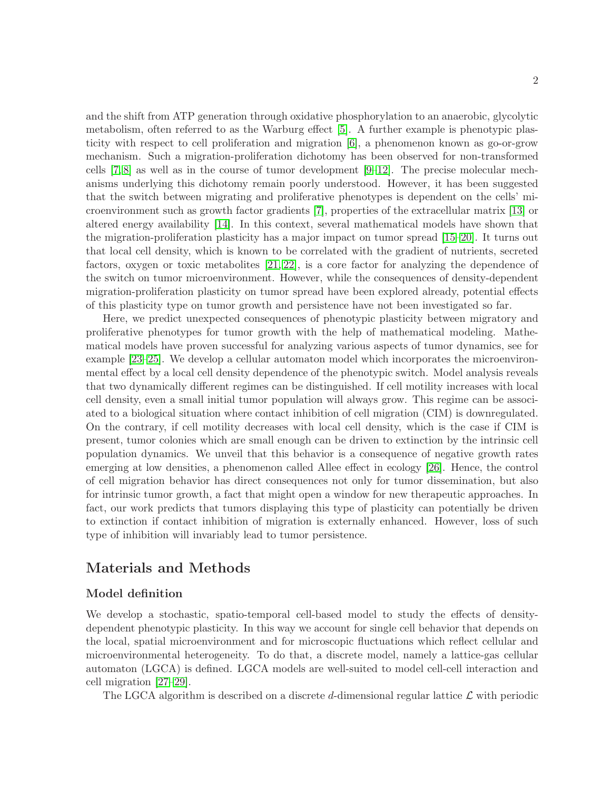and the shift from ATP generation through oxidative phosphorylation to an anaerobic, glycolytic metabolism, often referred to as the Warburg effect [\[5\]](#page-8-4). A further example is phenotypic plasticity with respect to cell proliferation and migration [\[6\]](#page-8-5), a phenomenon known as go-or-grow mechanism. Such a migration-proliferation dichotomy has been observed for non-transformed cells  $[7, 8]$  $[7, 8]$  as well as in the course of tumor development  $[9-12]$  $[9-12]$ . The precise molecular mechanisms underlying this dichotomy remain poorly understood. However, it has been suggested that the switch between migrating and proliferative phenotypes is dependent on the cells' microenvironment such as growth factor gradients [\[7\]](#page-8-6), properties of the extracellular matrix [\[13\]](#page-8-10) or altered energy availability [\[14\]](#page-9-0). In this context, several mathematical models have shown that the migration-proliferation plasticity has a major impact on tumor spread [\[15](#page-9-1)[–20\]](#page-9-2). It turns out that local cell density, which is known to be correlated with the gradient of nutrients, secreted factors, oxygen or toxic metabolites [\[21,](#page-9-3) [22\]](#page-9-4), is a core factor for analyzing the dependence of the switch on tumor microenvironment. However, while the consequences of density-dependent migration-proliferation plasticity on tumor spread have been explored already, potential effects of this plasticity type on tumor growth and persistence have not been investigated so far.

Here, we predict unexpected consequences of phenotypic plasticity between migratory and proliferative phenotypes for tumor growth with the help of mathematical modeling. Mathematical models have proven successful for analyzing various aspects of tumor dynamics, see for example [\[23–](#page-9-5)[25\]](#page-9-6). We develop a cellular automaton model which incorporates the microenvironmental effect by a local cell density dependence of the phenotypic switch. Model analysis reveals that two dynamically different regimes can be distinguished. If cell motility increases with local cell density, even a small initial tumor population will always grow. This regime can be associated to a biological situation where contact inhibition of cell migration (CIM) is downregulated. On the contrary, if cell motility decreases with local cell density, which is the case if CIM is present, tumor colonies which are small enough can be driven to extinction by the intrinsic cell population dynamics. We unveil that this behavior is a consequence of negative growth rates emerging at low densities, a phenomenon called Allee effect in ecology [\[26\]](#page-9-7). Hence, the control of cell migration behavior has direct consequences not only for tumor dissemination, but also for intrinsic tumor growth, a fact that might open a window for new therapeutic approaches. In fact, our work predicts that tumors displaying this type of plasticity can potentially be driven to extinction if contact inhibition of migration is externally enhanced. However, loss of such type of inhibition will invariably lead to tumor persistence.

# Materials and Methods

### Model definition

We develop a stochastic, spatio-temporal cell-based model to study the effects of densitydependent phenotypic plasticity. In this way we account for single cell behavior that depends on the local, spatial microenvironment and for microscopic fluctuations which reflect cellular and microenvironmental heterogeneity. To do that, a discrete model, namely a lattice-gas cellular automaton (LGCA) is defined. LGCA models are well-suited to model cell-cell interaction and cell migration [\[27–](#page-9-8)[29\]](#page-10-0).

The LGCA algorithm is described on a discrete d-dimensional regular lattice  $\mathcal L$  with periodic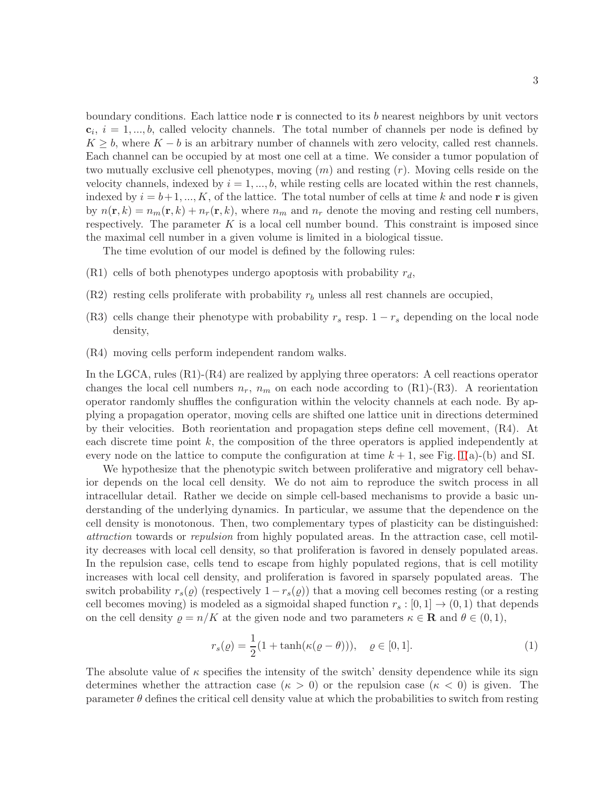boundary conditions. Each lattice node  $\bf{r}$  is connected to its b nearest neighbors by unit vectors  $c_i$ ,  $i = 1, ..., b$ , called velocity channels. The total number of channels per node is defined by  $K \geq b$ , where  $K - b$  is an arbitrary number of channels with zero velocity, called rest channels. Each channel can be occupied by at most one cell at a time. We consider a tumor population of two mutually exclusive cell phenotypes, moving  $(m)$  and resting  $(r)$ . Moving cells reside on the velocity channels, indexed by  $i = 1, ..., b$ , while resting cells are located within the rest channels, indexed by  $i = b+1, ..., K$ , of the lattice. The total number of cells at time k and node r is given by  $n(\mathbf{r}, k) = n_m(\mathbf{r}, k) + n_r(\mathbf{r}, k)$ , where  $n_m$  and  $n_r$  denote the moving and resting cell numbers, respectively. The parameter  $K$  is a local cell number bound. This constraint is imposed since the maximal cell number in a given volume is limited in a biological tissue.

The time evolution of our model is defined by the following rules:

- (R1) cells of both phenotypes undergo apoptosis with probability  $r_d$ ,
- $(R2)$  resting cells proliferate with probability  $r_b$  unless all rest channels are occupied,
- (R3) cells change their phenotype with probability  $r_s$  resp.  $1 r_s$  depending on the local node density,
- (R4) moving cells perform independent random walks.

In the LGCA, rules (R1)-(R4) are realized by applying three operators: A cell reactions operator changes the local cell numbers  $n_r$ ,  $n_m$  on each node according to (R1)-(R3). A reorientation operator randomly shuffles the configuration within the velocity channels at each node. By applying a propagation operator, moving cells are shifted one lattice unit in directions determined by their velocities. Both reorientation and propagation steps define cell movement, (R4). At each discrete time point k, the composition of the three operators is applied independently at every node on the lattice to compute the configuration at time  $k + 1$ , see Fig. [1\(](#page-24-0)a)-(b) and SI.

We hypothesize that the phenotypic switch between proliferative and migratory cell behavior depends on the local cell density. We do not aim to reproduce the switch process in all intracellular detail. Rather we decide on simple cell-based mechanisms to provide a basic understanding of the underlying dynamics. In particular, we assume that the dependence on the cell density is monotonous. Then, two complementary types of plasticity can be distinguished: attraction towards or repulsion from highly populated areas. In the attraction case, cell motility decreases with local cell density, so that proliferation is favored in densely populated areas. In the repulsion case, cells tend to escape from highly populated regions, that is cell motility increases with local cell density, and proliferation is favored in sparsely populated areas. The switch probability  $r_s(\varrho)$  (respectively  $1 - r_s(\varrho)$ ) that a moving cell becomes resting (or a resting cell becomes moving) is modeled as a sigmoidal shaped function  $r_s : [0, 1] \rightarrow (0, 1)$  that depends on the cell density  $\rho = n/K$  at the given node and two parameters  $\kappa \in \mathbf{R}$  and  $\theta \in (0,1),$ 

<span id="page-2-0"></span>
$$
r_s(\varrho) = \frac{1}{2}(1 + \tanh(\kappa(\varrho - \theta))), \quad \varrho \in [0, 1].
$$
 (1)

The absolute value of  $\kappa$  specifies the intensity of the switch' density dependence while its sign determines whether the attraction case ( $\kappa > 0$ ) or the repulsion case ( $\kappa < 0$ ) is given. The parameter  $\theta$  defines the critical cell density value at which the probabilities to switch from resting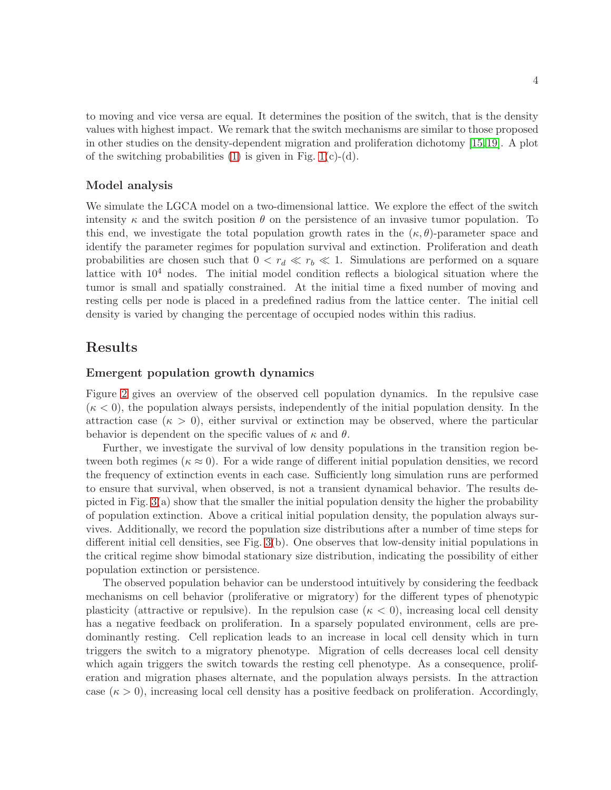to moving and vice versa are equal. It determines the position of the switch, that is the density values with highest impact. We remark that the switch mechanisms are similar to those proposed in other studies on the density-dependent migration and proliferation dichotomy [\[15,](#page-9-1)[19\]](#page-9-9). A plot of the switching probabilities  $(1)$  is given in Fig. 1 $(c)-(d)$ .

### Model analysis

We simulate the LGCA model on a two-dimensional lattice. We explore the effect of the switch intensity  $\kappa$  and the switch position  $\theta$  on the persistence of an invasive tumor population. To this end, we investigate the total population growth rates in the  $(\kappa, \theta)$ -parameter space and identify the parameter regimes for population survival and extinction. Proliferation and death probabilities are chosen such that  $0 < r_d \ll r_b \ll 1$ . Simulations are performed on a square lattice with  $10<sup>4</sup>$  nodes. The initial model condition reflects a biological situation where the tumor is small and spatially constrained. At the initial time a fixed number of moving and resting cells per node is placed in a predefined radius from the lattice center. The initial cell density is varied by changing the percentage of occupied nodes within this radius.

## Results

#### Emergent population growth dynamics

Figure [2](#page-12-0) gives an overview of the observed cell population dynamics. In the repulsive case  $(\kappa < 0)$ , the population always persists, independently of the initial population density. In the attraction case  $(\kappa > 0)$ , either survival or extinction may be observed, where the particular behavior is dependent on the specific values of  $\kappa$  and  $\theta$ .

Further, we investigate the survival of low density populations in the transition region between both regimes ( $\kappa \approx 0$ ). For a wide range of different initial population densities, we record the frequency of extinction events in each case. Sufficiently long simulation runs are performed to ensure that survival, when observed, is not a transient dynamical behavior. The results depicted in Fig. [3\(](#page-13-0)a) show that the smaller the initial population density the higher the probability of population extinction. Above a critical initial population density, the population always survives. Additionally, we record the population size distributions after a number of time steps for different initial cell densities, see Fig. [3\(](#page-13-0)b). One observes that low-density initial populations in the critical regime show bimodal stationary size distribution, indicating the possibility of either population extinction or persistence.

The observed population behavior can be understood intuitively by considering the feedback mechanisms on cell behavior (proliferative or migratory) for the different types of phenotypic plasticity (attractive or repulsive). In the repulsion case ( $\kappa < 0$ ), increasing local cell density has a negative feedback on proliferation. In a sparsely populated environment, cells are predominantly resting. Cell replication leads to an increase in local cell density which in turn triggers the switch to a migratory phenotype. Migration of cells decreases local cell density which again triggers the switch towards the resting cell phenotype. As a consequence, proliferation and migration phases alternate, and the population always persists. In the attraction case  $(\kappa > 0)$ , increasing local cell density has a positive feedback on proliferation. Accordingly,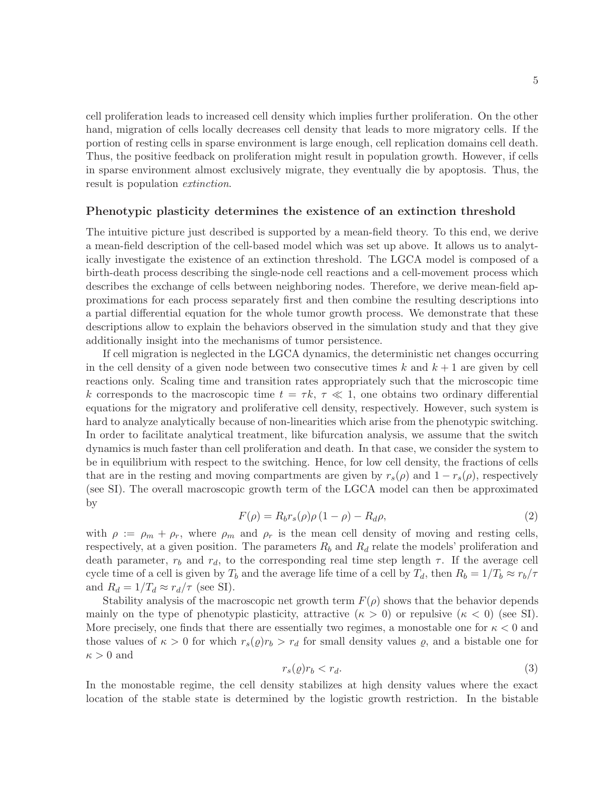cell proliferation leads to increased cell density which implies further proliferation. On the other hand, migration of cells locally decreases cell density that leads to more migratory cells. If the portion of resting cells in sparse environment is large enough, cell replication domains cell death. Thus, the positive feedback on proliferation might result in population growth. However, if cells in sparse environment almost exclusively migrate, they eventually die by apoptosis. Thus, the result is population *extinction*.

#### Phenotypic plasticity determines the existence of an extinction threshold

The intuitive picture just described is supported by a mean-field theory. To this end, we derive a mean-field description of the cell-based model which was set up above. It allows us to analytically investigate the existence of an extinction threshold. The LGCA model is composed of a birth-death process describing the single-node cell reactions and a cell-movement process which describes the exchange of cells between neighboring nodes. Therefore, we derive mean-field approximations for each process separately first and then combine the resulting descriptions into a partial differential equation for the whole tumor growth process. We demonstrate that these descriptions allow to explain the behaviors observed in the simulation study and that they give additionally insight into the mechanisms of tumor persistence.

If cell migration is neglected in the LGCA dynamics, the deterministic net changes occurring in the cell density of a given node between two consecutive times  $k$  and  $k + 1$  are given by cell reactions only. Scaling time and transition rates appropriately such that the microscopic time k corresponds to the macroscopic time  $t = \tau k$ ,  $\tau \ll 1$ , one obtains two ordinary differential equations for the migratory and proliferative cell density, respectively. However, such system is hard to analyze analytically because of non-linearities which arise from the phenotypic switching. In order to facilitate analytical treatment, like bifurcation analysis, we assume that the switch dynamics is much faster than cell proliferation and death. In that case, we consider the system to be in equilibrium with respect to the switching. Hence, for low cell density, the fractions of cells that are in the resting and moving compartments are given by  $r_s(\rho)$  and  $1 - r_s(\rho)$ , respectively (see SI). The overall macroscopic growth term of the LGCA model can then be approximated by

<span id="page-4-0"></span>
$$
F(\rho) = R_b r_s(\rho) \rho (1 - \rho) - R_d \rho, \qquad (2)
$$

with  $\rho := \rho_m + \rho_r$ , where  $\rho_m$  and  $\rho_r$  is the mean cell density of moving and resting cells, respectively, at a given position. The parameters  $R_b$  and  $R_d$  relate the models' proliferation and death parameter,  $r_b$  and  $r_d$ , to the corresponding real time step length  $\tau$ . If the average cell cycle time of a cell is given by  $T_b$  and the average life time of a cell by  $T_d$ , then  $R_b = 1/T_b \approx r_b/\tau$ and  $R_d = 1/T_d \approx r_d/\tau$  (see SI).

Stability analysis of the macroscopic net growth term  $F(\rho)$  shows that the behavior depends mainly on the type of phenotypic plasticity, attractive  $(\kappa > 0)$  or repulsive  $(\kappa < 0)$  (see SI). More precisely, one finds that there are essentially two regimes, a monostable one for  $\kappa < 0$  and those values of  $\kappa > 0$  for which  $r_s(\rho) r_b > r_d$  for small density values  $\rho$ , and a bistable one for  $\kappa > 0$  and

<span id="page-4-1"></span>
$$
r_s(\varrho)r_b < r_d. \tag{3}
$$

In the monostable regime, the cell density stabilizes at high density values where the exact location of the stable state is determined by the logistic growth restriction. In the bistable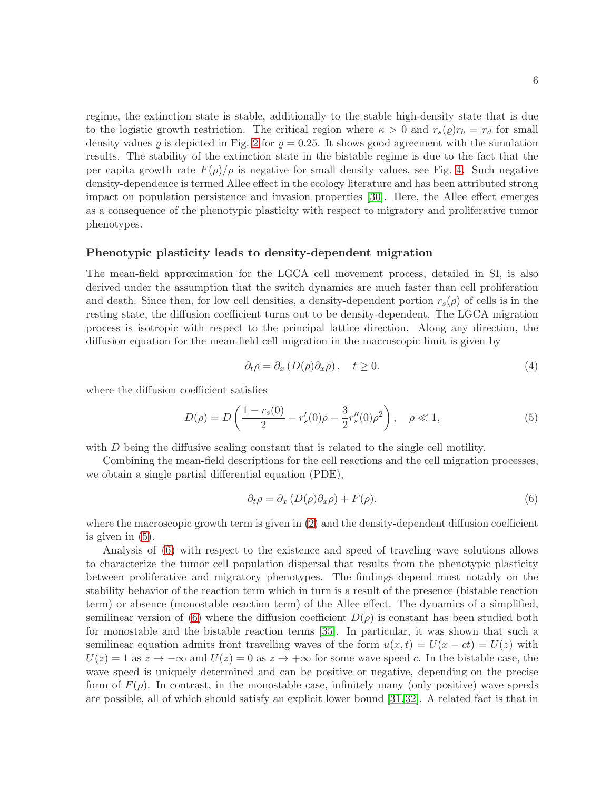regime, the extinction state is stable, additionally to the stable high-density state that is due to the logistic growth restriction. The critical region where  $\kappa > 0$  and  $r_s(\rho) r_b = r_d$  for small density values  $\rho$  is depicted in Fig. [2](#page-12-0) for  $\rho = 0.25$ . It shows good agreement with the simulation results. The stability of the extinction state in the bistable regime is due to the fact that the per capita growth rate  $F(\rho)/\rho$  is negative for small density values, see Fig. [4.](#page-13-1) Such negative density-dependence is termed Allee effect in the ecology literature and has been attributed strong impact on population persistence and invasion properties [\[30\]](#page-10-1). Here, the Allee effect emerges as a consequence of the phenotypic plasticity with respect to migratory and proliferative tumor phenotypes.

### Phenotypic plasticity leads to density-dependent migration

The mean-field approximation for the LGCA cell movement process, detailed in SI, is also derived under the assumption that the switch dynamics are much faster than cell proliferation and death. Since then, for low cell densities, a density-dependent portion  $r_s(\rho)$  of cells is in the resting state, the diffusion coefficient turns out to be density-dependent. The LGCA migration process is isotropic with respect to the principal lattice direction. Along any direction, the diffusion equation for the mean-field cell migration in the macroscopic limit is given by

$$
\partial_t \rho = \partial_x \left( D(\rho) \partial_x \rho \right), \quad t \ge 0. \tag{4}
$$

where the diffusion coefficient satisfies

<span id="page-5-0"></span>
$$
D(\rho) = D\left(\frac{1 - r_s(0)}{2} - r_s'(0)\rho - \frac{3}{2}r_s''(0)\rho^2\right), \quad \rho \ll 1,
$$
\n(5)

with D being the diffusive scaling constant that is related to the single cell motility.

Combining the mean-field descriptions for the cell reactions and the cell migration processes, we obtain a single partial differential equation (PDE),

<span id="page-5-1"></span>
$$
\partial_t \rho = \partial_x \left( D(\rho) \partial_x \rho \right) + F(\rho). \tag{6}
$$

where the macroscopic growth term is given in [\(2\)](#page-4-0) and the density-dependent diffusion coefficient is given in [\(5\)](#page-5-0).

Analysis of [\(6\)](#page-5-1) with respect to the existence and speed of traveling wave solutions allows to characterize the tumor cell population dispersal that results from the phenotypic plasticity between proliferative and migratory phenotypes. The findings depend most notably on the stability behavior of the reaction term which in turn is a result of the presence (bistable reaction term) or absence (monostable reaction term) of the Allee effect. The dynamics of a simplified, semilinear version of [\(6\)](#page-5-1) where the diffusion coefficient  $D(\rho)$  is constant has been studied both for monostable and the bistable reaction terms [\[35\]](#page-10-2). In particular, it was shown that such a semilinear equation admits front travelling waves of the form  $u(x,t) = U(x - ct) = U(z)$  with  $U(z) = 1$  as  $z \to -\infty$  and  $U(z) = 0$  as  $z \to +\infty$  for some wave speed c. In the bistable case, the wave speed is uniquely determined and can be positive or negative, depending on the precise form of  $F(\rho)$ . In contrast, in the monostable case, infinitely many (only positive) wave speeds are possible, all of which should satisfy an explicit lower bound [\[31,](#page-10-3)[32\]](#page-10-4). A related fact is that in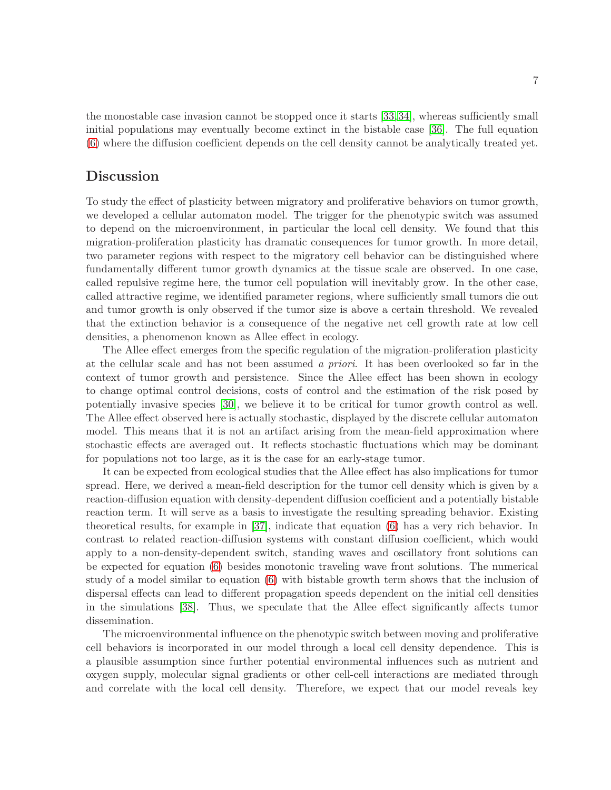the monostable case invasion cannot be stopped once it starts [\[33,](#page-10-5)[34\]](#page-10-6), whereas sufficiently small initial populations may eventually become extinct in the bistable case [\[36\]](#page-10-7). The full equation [\(6\)](#page-5-1) where the diffusion coefficient depends on the cell density cannot be analytically treated yet.

### **Discussion**

To study the effect of plasticity between migratory and proliferative behaviors on tumor growth, we developed a cellular automaton model. The trigger for the phenotypic switch was assumed to depend on the microenvironment, in particular the local cell density. We found that this migration-proliferation plasticity has dramatic consequences for tumor growth. In more detail, two parameter regions with respect to the migratory cell behavior can be distinguished where fundamentally different tumor growth dynamics at the tissue scale are observed. In one case, called repulsive regime here, the tumor cell population will inevitably grow. In the other case, called attractive regime, we identified parameter regions, where sufficiently small tumors die out and tumor growth is only observed if the tumor size is above a certain threshold. We revealed that the extinction behavior is a consequence of the negative net cell growth rate at low cell densities, a phenomenon known as Allee effect in ecology.

The Allee effect emerges from the specific regulation of the migration-proliferation plasticity at the cellular scale and has not been assumed a priori. It has been overlooked so far in the context of tumor growth and persistence. Since the Allee effect has been shown in ecology to change optimal control decisions, costs of control and the estimation of the risk posed by potentially invasive species [\[30\]](#page-10-1), we believe it to be critical for tumor growth control as well. The Allee effect observed here is actually stochastic, displayed by the discrete cellular automaton model. This means that it is not an artifact arising from the mean-field approximation where stochastic effects are averaged out. It reflects stochastic fluctuations which may be dominant for populations not too large, as it is the case for an early-stage tumor.

It can be expected from ecological studies that the Allee effect has also implications for tumor spread. Here, we derived a mean-field description for the tumor cell density which is given by a reaction-diffusion equation with density-dependent diffusion coefficient and a potentially bistable reaction term. It will serve as a basis to investigate the resulting spreading behavior. Existing theoretical results, for example in [\[37\]](#page-10-8), indicate that equation [\(6\)](#page-5-1) has a very rich behavior. In contrast to related reaction-diffusion systems with constant diffusion coefficient, which would apply to a non-density-dependent switch, standing waves and oscillatory front solutions can be expected for equation [\(6\)](#page-5-1) besides monotonic traveling wave front solutions. The numerical study of a model similar to equation [\(6\)](#page-5-1) with bistable growth term shows that the inclusion of dispersal effects can lead to different propagation speeds dependent on the initial cell densities in the simulations [\[38\]](#page-10-9). Thus, we speculate that the Allee effect significantly affects tumor dissemination.

The microenvironmental influence on the phenotypic switch between moving and proliferative cell behaviors is incorporated in our model through a local cell density dependence. This is a plausible assumption since further potential environmental influences such as nutrient and oxygen supply, molecular signal gradients or other cell-cell interactions are mediated through and correlate with the local cell density. Therefore, we expect that our model reveals key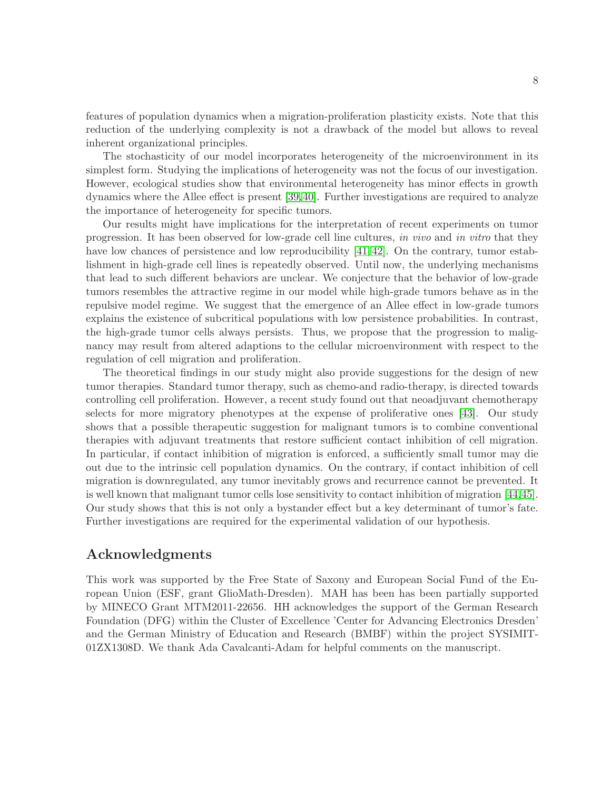features of population dynamics when a migration-proliferation plasticity exists. Note that this reduction of the underlying complexity is not a drawback of the model but allows to reveal inherent organizational principles.

The stochasticity of our model incorporates heterogeneity of the microenvironment in its simplest form. Studying the implications of heterogeneity was not the focus of our investigation. However, ecological studies show that environmental heterogeneity has minor effects in growth dynamics where the Allee effect is present [\[39,](#page-10-10)[40\]](#page-10-11). Further investigations are required to analyze the importance of heterogeneity for specific tumors.

Our results might have implications for the interpretation of recent experiments on tumor progression. It has been observed for low-grade cell line cultures, in vivo and in vitro that they have low chances of persistence and low reproducibility [\[41,](#page-10-12) [42\]](#page-10-13). On the contrary, tumor establishment in high-grade cell lines is repeatedly observed. Until now, the underlying mechanisms that lead to such different behaviors are unclear. We conjecture that the behavior of low-grade tumors resembles the attractive regime in our model while high-grade tumors behave as in the repulsive model regime. We suggest that the emergence of an Allee effect in low-grade tumors explains the existence of subcritical populations with low persistence probabilities. In contrast, the high-grade tumor cells always persists. Thus, we propose that the progression to malignancy may result from altered adaptions to the cellular microenvironment with respect to the regulation of cell migration and proliferation.

The theoretical findings in our study might also provide suggestions for the design of new tumor therapies. Standard tumor therapy, such as chemo-and radio-therapy, is directed towards controlling cell proliferation. However, a recent study found out that neoadjuvant chemotherapy selects for more migratory phenotypes at the expense of proliferative ones [\[43\]](#page-10-14). Our study shows that a possible therapeutic suggestion for malignant tumors is to combine conventional therapies with adjuvant treatments that restore sufficient contact inhibition of cell migration. In particular, if contact inhibition of migration is enforced, a sufficiently small tumor may die out due to the intrinsic cell population dynamics. On the contrary, if contact inhibition of cell migration is downregulated, any tumor inevitably grows and recurrence cannot be prevented. It is well known that malignant tumor cells lose sensitivity to contact inhibition of migration [\[44,](#page-10-15)[45\]](#page-10-16). Our study shows that this is not only a bystander effect but a key determinant of tumor's fate. Further investigations are required for the experimental validation of our hypothesis.

## Acknowledgments

This work was supported by the Free State of Saxony and European Social Fund of the European Union (ESF, grant GlioMath-Dresden). MAH has been has been partially supported by MINECO Grant MTM2011-22656. HH acknowledges the support of the German Research Foundation (DFG) within the Cluster of Excellence 'Center for Advancing Electronics Dresden' and the German Ministry of Education and Research (BMBF) within the project SYSIMIT-01ZX1308D. We thank Ada Cavalcanti-Adam for helpful comments on the manuscript.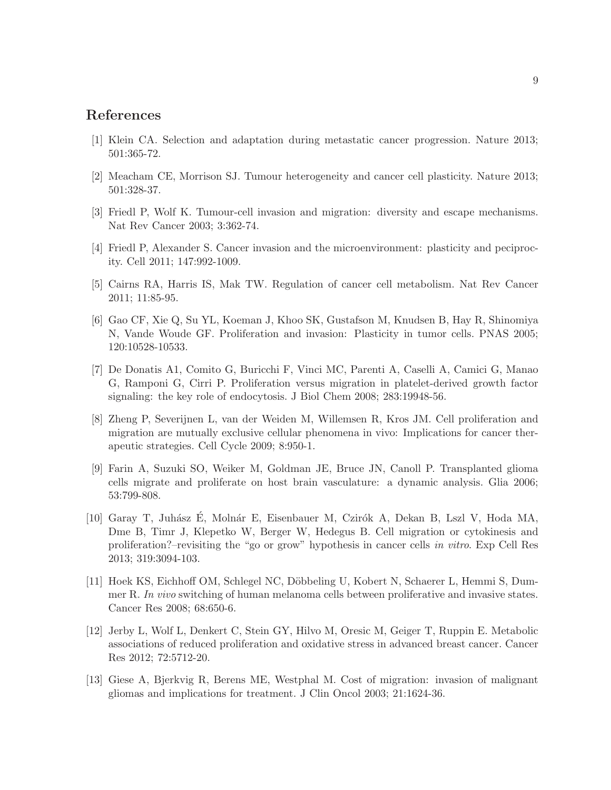# <span id="page-8-0"></span>References

- <span id="page-8-1"></span>[1] Klein CA. Selection and adaptation during metastatic cancer progression. Nature 2013; 501:365-72.
- <span id="page-8-2"></span>[2] Meacham CE, Morrison SJ. Tumour heterogeneity and cancer cell plasticity. Nature 2013; 501:328-37.
- <span id="page-8-3"></span>[3] Friedl P, Wolf K. Tumour-cell invasion and migration: diversity and escape mechanisms. Nat Rev Cancer 2003; 3:362-74.
- <span id="page-8-4"></span>[4] Friedl P, Alexander S. Cancer invasion and the microenvironment: plasticity and peciprocity. Cell 2011; 147:992-1009.
- <span id="page-8-5"></span>[5] Cairns RA, Harris IS, Mak TW. Regulation of cancer cell metabolism. Nat Rev Cancer 2011; 11:85-95.
- [6] Gao CF, Xie Q, Su YL, Koeman J, Khoo SK, Gustafson M, Knudsen B, Hay R, Shinomiya N, Vande Woude GF. Proliferation and invasion: Plasticity in tumor cells. PNAS 2005; 120:10528-10533.
- <span id="page-8-6"></span>[7] De Donatis A1, Comito G, Buricchi F, Vinci MC, Parenti A, Caselli A, Camici G, Manao G, Ramponi G, Cirri P. Proliferation versus migration in platelet-derived growth factor signaling: the key role of endocytosis. J Biol Chem 2008; 283:19948-56.
- <span id="page-8-7"></span>[8] Zheng P, Severijnen L, van der Weiden M, Willemsen R, Kros JM. Cell proliferation and migration are mutually exclusive cellular phenomena in vivo: Implications for cancer therapeutic strategies. Cell Cycle 2009; 8:950-1.
- <span id="page-8-8"></span>[9] Farin A, Suzuki SO, Weiker M, Goldman JE, Bruce JN, Canoll P. Transplanted glioma cells migrate and proliferate on host brain vasculature: a dynamic analysis. Glia 2006; 53:799-808.
- [10] Garay T, Juhász E, Molnár E, Eisenbauer M, Czirók A, Dekan B, Lszl V, Hoda MA. Dme B, Timr J, Klepetko W, Berger W, Hedegus B. Cell migration or cytokinesis and proliferation?–revisiting the "go or grow" hypothesis in cancer cells in vitro. Exp Cell Res 2013; 319:3094-103.
- [11] Hoek KS, Eichhoff OM, Schlegel NC, Döbbeling U, Kobert N, Schaerer L, Hemmi S, Dummer R. In vivo switching of human melanoma cells between proliferative and invasive states. Cancer Res 2008; 68:650-6.
- <span id="page-8-9"></span>[12] Jerby L, Wolf L, Denkert C, Stein GY, Hilvo M, Oresic M, Geiger T, Ruppin E. Metabolic associations of reduced proliferation and oxidative stress in advanced breast cancer. Cancer Res 2012; 72:5712-20.
- <span id="page-8-10"></span>[13] Giese A, Bjerkvig R, Berens ME, Westphal M. Cost of migration: invasion of malignant gliomas and implications for treatment. J Clin Oncol 2003; 21:1624-36.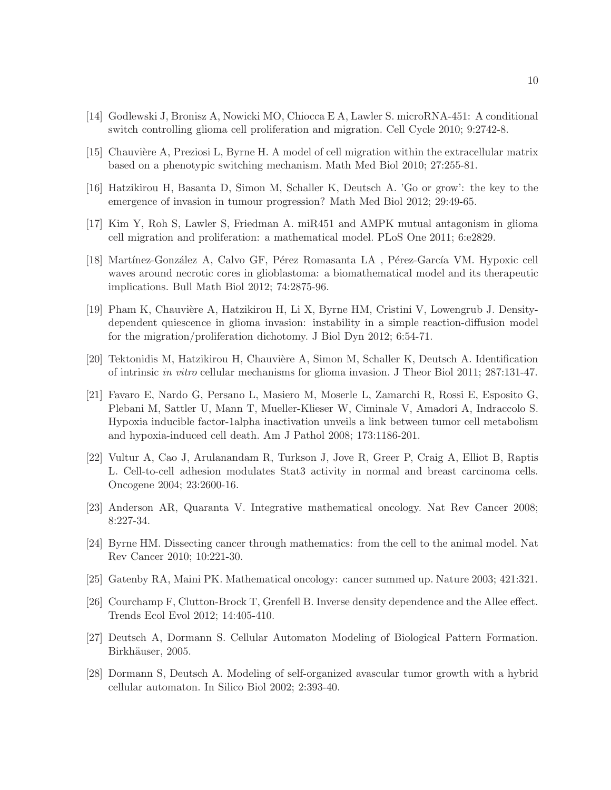- <span id="page-9-1"></span><span id="page-9-0"></span>[14] Godlewski J, Bronisz A, Nowicki MO, Chiocca E A, Lawler S. microRNA-451: A conditional switch controlling glioma cell proliferation and migration. Cell Cycle 2010; 9:2742-8.
- [15] Chauvière A, Preziosi L, Byrne H. A model of cell migration within the extracellular matrix based on a phenotypic switching mechanism. Math Med Biol 2010; 27:255-81.
- [16] Hatzikirou H, Basanta D, Simon M, Schaller K, Deutsch A. 'Go or grow': the key to the emergence of invasion in tumour progression? Math Med Biol 2012; 29:49-65.
- [17] Kim Y, Roh S, Lawler S, Friedman A. miR451 and AMPK mutual antagonism in glioma cell migration and proliferation: a mathematical model. PLoS One 2011; 6:e2829.
- [18] Martínez-González A, Calvo GF, Pérez Romasanta LA, Pérez-García VM. Hypoxic cell waves around necrotic cores in glioblastoma: a biomathematical model and its therapeutic implications. Bull Math Biol 2012; 74:2875-96.
- <span id="page-9-9"></span>[19] Pham K, Chauvière A, Hatzikirou H, Li X, Byrne HM, Cristini V, Lowengrub J. Densitydependent quiescence in glioma invasion: instability in a simple reaction-diffusion model for the migration/proliferation dichotomy. J Biol Dyn 2012; 6:54-71.
- <span id="page-9-3"></span><span id="page-9-2"></span>[20] Tektonidis M, Hatzikirou H, Chauvière A, Simon M, Schaller K, Deutsch A. Identification of intrinsic in vitro cellular mechanisms for glioma invasion. J Theor Biol 2011; 287:131-47.
- [21] Favaro E, Nardo G, Persano L, Masiero M, Moserle L, Zamarchi R, Rossi E, Esposito G, Plebani M, Sattler U, Mann T, Mueller-Klieser W, Ciminale V, Amadori A, Indraccolo S. Hypoxia inducible factor-1alpha inactivation unveils a link between tumor cell metabolism and hypoxia-induced cell death. Am J Pathol 2008; 173:1186-201.
- <span id="page-9-4"></span>[22] Vultur A, Cao J, Arulanandam R, Turkson J, Jove R, Greer P, Craig A, Elliot B, Raptis L. Cell-to-cell adhesion modulates Stat3 activity in normal and breast carcinoma cells. Oncogene 2004; 23:2600-16.
- <span id="page-9-5"></span>[23] Anderson AR, Quaranta V. Integrative mathematical oncology. Nat Rev Cancer 2008; 8:227-34.
- <span id="page-9-6"></span>[24] Byrne HM. Dissecting cancer through mathematics: from the cell to the animal model. Nat Rev Cancer 2010; 10:221-30.
- <span id="page-9-7"></span>[25] Gatenby RA, Maini PK. Mathematical oncology: cancer summed up. Nature 2003; 421:321.
- <span id="page-9-8"></span>[26] Courchamp F, Clutton-Brock T, Grenfell B. Inverse density dependence and the Allee effect. Trends Ecol Evol 2012; 14:405-410.
- [27] Deutsch A, Dormann S. Cellular Automaton Modeling of Biological Pattern Formation. Birkhäuser, 2005.
- [28] Dormann S, Deutsch A. Modeling of self-organized avascular tumor growth with a hybrid cellular automaton. In Silico Biol 2002; 2:393-40.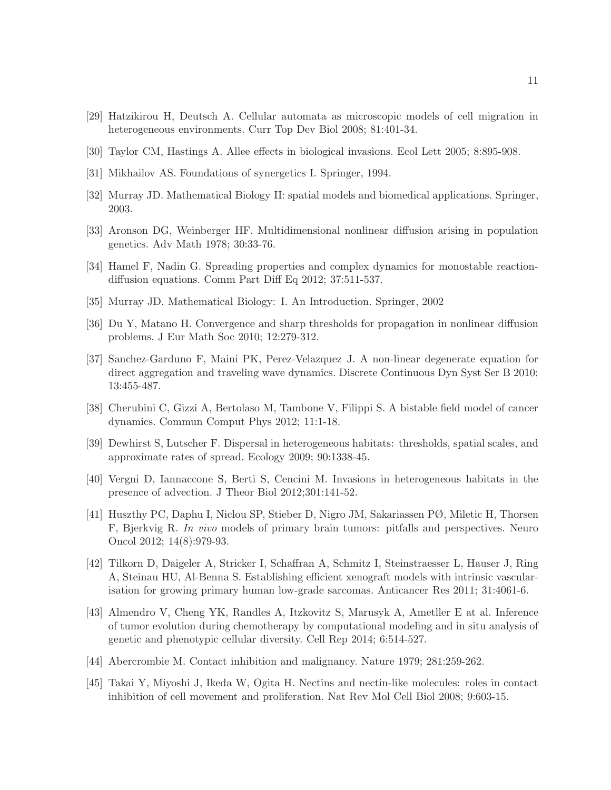- <span id="page-10-1"></span><span id="page-10-0"></span>[29] Hatzikirou H, Deutsch A. Cellular automata as microscopic models of cell migration in heterogeneous environments. Curr Top Dev Biol 2008; 81:401-34.
- <span id="page-10-3"></span>[30] Taylor CM, Hastings A. Allee effects in biological invasions. Ecol Lett 2005; 8:895-908.
- <span id="page-10-4"></span>[31] Mikhailov AS. Foundations of synergetics I. Springer, 1994.
- <span id="page-10-5"></span>[32] Murray JD. Mathematical Biology II: spatial models and biomedical applications. Springer, 2003.
- <span id="page-10-6"></span>[33] Aronson DG, Weinberger HF. Multidimensional nonlinear diffusion arising in population genetics. Adv Math 1978; 30:33-76.
- <span id="page-10-2"></span>[34] Hamel F, Nadin G. Spreading properties and complex dynamics for monostable reactiondiffusion equations. Comm Part Diff Eq 2012; 37:511-537.
- <span id="page-10-7"></span>[35] Murray JD. Mathematical Biology: I. An Introduction. Springer, 2002
- <span id="page-10-8"></span>[36] Du Y, Matano H. Convergence and sharp thresholds for propagation in nonlinear diffusion problems. J Eur Math Soc 2010; 12:279-312.
- [37] Sanchez-Garduno F, Maini PK, Perez-Velazquez J. A non-linear degenerate equation for direct aggregation and traveling wave dynamics. Discrete Continuous Dyn Syst Ser B 2010; 13:455-487.
- <span id="page-10-10"></span><span id="page-10-9"></span>[38] Cherubini C, Gizzi A, Bertolaso M, Tambone V, Filippi S. A bistable field model of cancer dynamics. Commun Comput Phys 2012; 11:1-18.
- <span id="page-10-11"></span>[39] Dewhirst S, Lutscher F. Dispersal in heterogeneous habitats: thresholds, spatial scales, and approximate rates of spread. Ecology 2009; 90:1338-45.
- <span id="page-10-12"></span>[40] Vergni D, Iannaccone S, Berti S, Cencini M. Invasions in heterogeneous habitats in the presence of advection. J Theor Biol 2012;301:141-52.
- [41] Huszthy PC, Daphu I, Niclou SP, Stieber D, Nigro JM, Sakariassen PØ, Miletic H, Thorsen F, Bjerkvig R. In vivo models of primary brain tumors: pitfalls and perspectives. Neuro Oncol 2012; 14(8):979-93.
- <span id="page-10-13"></span>[42] Tilkorn D, Daigeler A, Stricker I, Schaffran A, Schmitz I, Steinstraesser L, Hauser J, Ring A, Steinau HU, Al-Benna S. Establishing efficient xenograft models with intrinsic vascularisation for growing primary human low-grade sarcomas. Anticancer Res 2011; 31:4061-6.
- <span id="page-10-14"></span>[43] Almendro V, Cheng YK, Randles A, Itzkovitz S, Marusyk A, Ametller E at al. Inference of tumor evolution during chemotherapy by computational modeling and in situ analysis of genetic and phenotypic cellular diversity. Cell Rep 2014; 6:514-527.
- <span id="page-10-16"></span><span id="page-10-15"></span>[44] Abercrombie M. Contact inhibition and malignancy. Nature 1979; 281:259-262.
- [45] Takai Y, Miyoshi J, Ikeda W, Ogita H. Nectins and nectin-like molecules: roles in contact inhibition of cell movement and proliferation. Nat Rev Mol Cell Biol 2008; 9:603-15.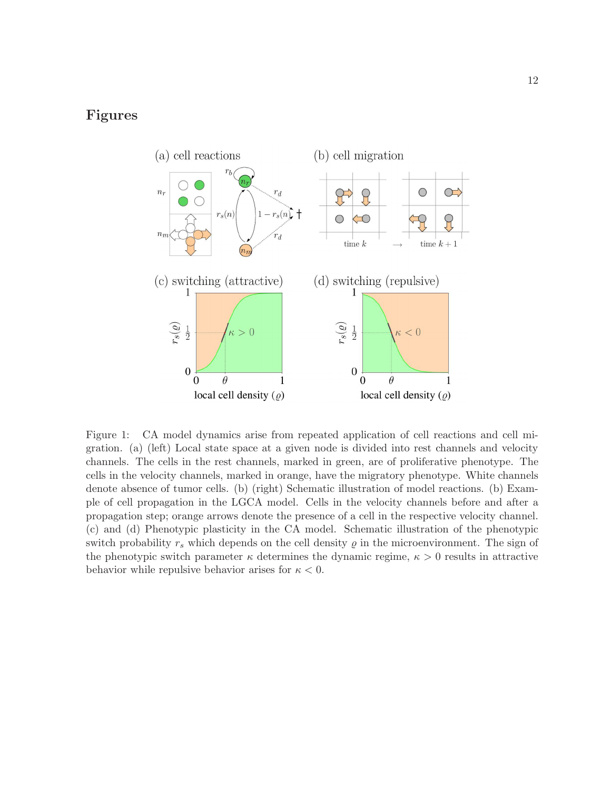# Figures



Figure 1: CA model dynamics arise from repeated application of cell reactions and cell migration. (a) (left) Local state space at a given node is divided into rest channels and velocity channels. The cells in the rest channels, marked in green, are of proliferative phenotype. The cells in the velocity channels, marked in orange, have the migratory phenotype. White channels denote absence of tumor cells. (b) (right) Schematic illustration of model reactions. (b) Example of cell propagation in the LGCA model. Cells in the velocity channels before and after a propagation step; orange arrows denote the presence of a cell in the respective velocity channel. (c) and (d) Phenotypic plasticity in the CA model. Schematic illustration of the phenotypic switch probability  $r_s$  which depends on the cell density  $\rho$  in the microenvironment. The sign of the phenotypic switch parameter  $\kappa$  determines the dynamic regime,  $\kappa > 0$  results in attractive behavior while repulsive behavior arises for  $\kappa < 0$ .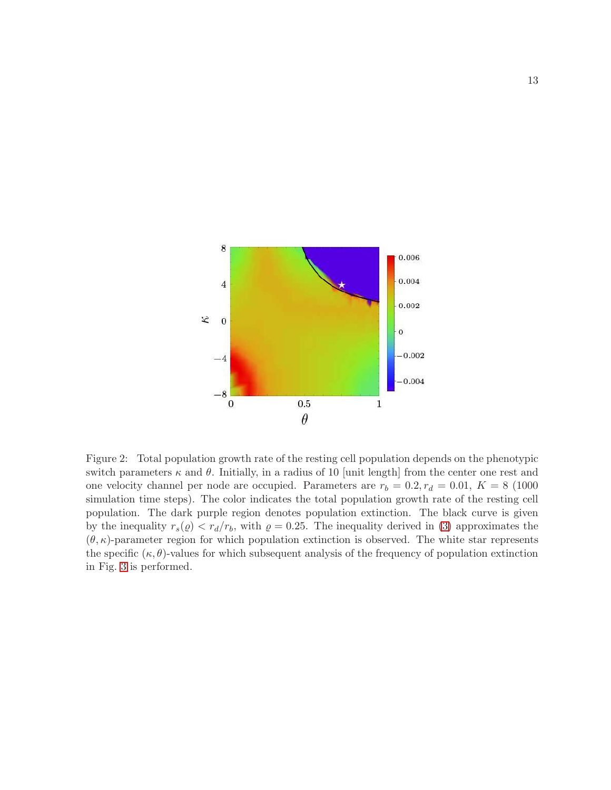

<span id="page-12-0"></span>Figure 2: Total population growth rate of the resting cell population depends on the phenotypic switch parameters  $\kappa$  and  $\theta$ . Initially, in a radius of 10 [unit length] from the center one rest and one velocity channel per node are occupied. Parameters are  $r_b = 0.2, r_d = 0.01, K = 8$  (1000) simulation time steps). The color indicates the total population growth rate of the resting cell population. The dark purple region denotes population extinction. The black curve is given by the inequality  $r_s(\varrho) < r_d/r_b$ , with  $\varrho = 0.25$ . The inequality derived in [\(3\)](#page-4-1) approximates the  $(\theta, \kappa)$ -parameter region for which population extinction is observed. The white star represents the specific  $(\kappa, \theta)$ -values for which subsequent analysis of the frequency of population extinction in Fig. [3](#page-13-0) is performed.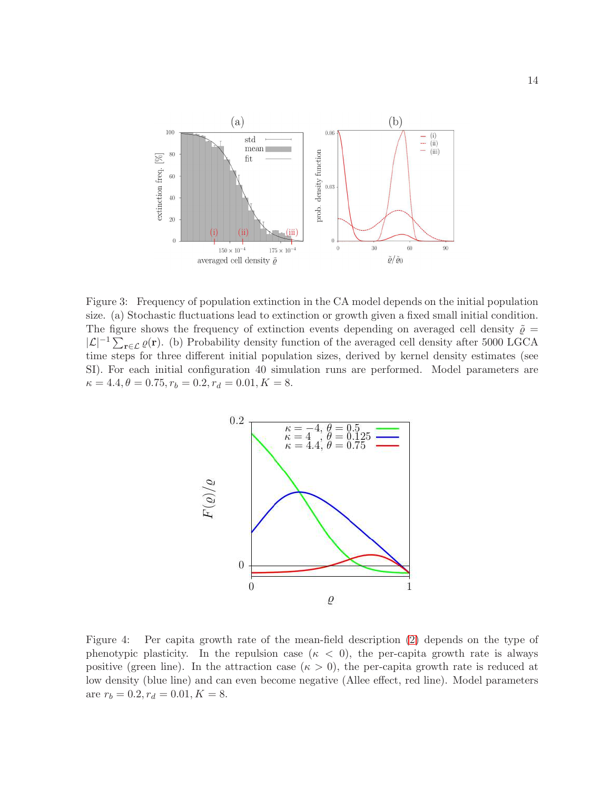

<span id="page-13-0"></span>Figure 3: Frequency of population extinction in the CA model depends on the initial population size. (a) Stochastic fluctuations lead to extinction or growth given a fixed small initial condition. The figure shows the frequency of extinction events depending on averaged cell density  $\tilde{\varrho}$  =  $|\mathcal{L}|^{-1} \sum_{\mathbf{r} \in \mathcal{L}} \varrho(\mathbf{r})$ . (b) Probability density function of the averaged cell density after 5000 LGCA time steps for three different initial population sizes, derived by kernel density estimates (see SI). For each initial configuration 40 simulation runs are performed. Model parameters are  $\kappa = 4.4, \theta = 0.75, r_b = 0.2, r_d = 0.01, K = 8.$ 



<span id="page-13-1"></span>Figure 4: Per capita growth rate of the mean-field description [\(2\)](#page-4-0) depends on the type of phenotypic plasticity. In the repulsion case  $(\kappa < 0)$ , the per-capita growth rate is always positive (green line). In the attraction case ( $\kappa > 0$ ), the per-capita growth rate is reduced at low density (blue line) and can even become negative (Allee effect, red line). Model parameters are  $r_b = 0.2, r_d = 0.01, K = 8$ .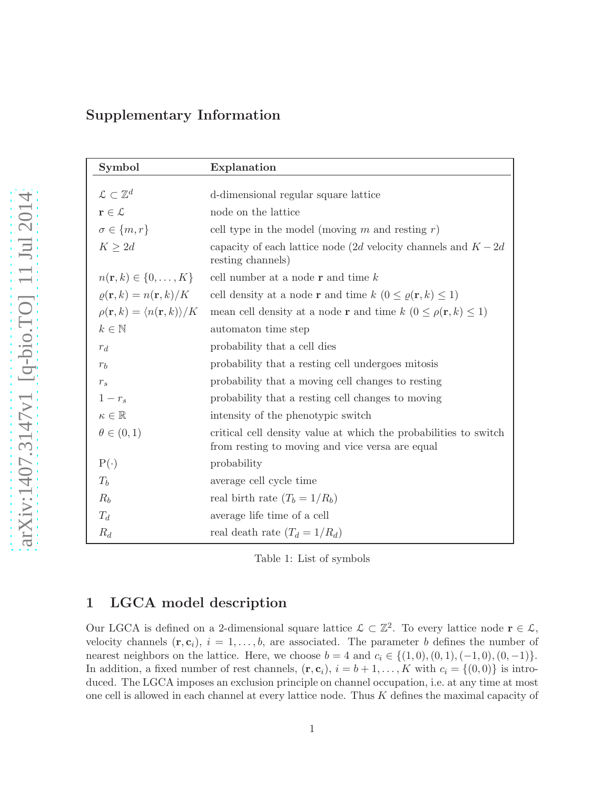# Supplementary Information

| Symbol                                                     | Explanation                                                                                                         |
|------------------------------------------------------------|---------------------------------------------------------------------------------------------------------------------|
|                                                            |                                                                                                                     |
| $\mathcal{L} \subset \mathbb{Z}^d$                         | d-dimensional regular square lattice                                                                                |
| $\mathbf{r} \in \mathcal{L}$                               | node on the lattice                                                                                                 |
| $\sigma \in \{m, r\}$                                      | cell type in the model (moving m and resting $r$ )                                                                  |
| $K \geq 2d$                                                | capacity of each lattice node (2d velocity channels and $K-2d$<br>resting channels)                                 |
| $n({\bf r},k) \in \{0,\ldots,K\}$                          | cell number at a node $\bf{r}$ and time $k$                                                                         |
| $\rho(\mathbf{r},k) = n(\mathbf{r},k)/K$                   | cell density at a node <b>r</b> and time $k$ $(0 \le \varrho(\mathbf{r}, k) \le 1)$                                 |
| $\rho(\mathbf{r},k) = \langle n(\mathbf{r},k) \rangle / K$ | mean cell density at a node <b>r</b> and time $k$ $(0 \le \rho(\mathbf{r}, k) \le 1)$                               |
| $k \in \mathbb{N}$                                         | automaton time step                                                                                                 |
| $r_d$                                                      | probability that a cell dies                                                                                        |
| $r_b$                                                      | probability that a resting cell undergoes mitosis                                                                   |
| $r_s$                                                      | probability that a moving cell changes to resting                                                                   |
| $1-r_s$                                                    | probability that a resting cell changes to moving                                                                   |
| $\kappa \in \mathbb{R}$                                    | intensity of the phenotypic switch                                                                                  |
| $\theta \in (0,1)$                                         | critical cell density value at which the probabilities to switch<br>from resting to moving and vice versa are equal |
| $P(\cdot)$                                                 | probability                                                                                                         |
| $T_h$                                                      | average cell cycle time                                                                                             |
| $R_b$                                                      | real birth rate $(T_b = 1/R_b)$                                                                                     |
| $T_d$                                                      | average life time of a cell                                                                                         |
| $R_d$                                                      | real death rate $(T_d = 1/R_d)$                                                                                     |

Table 1: List of symbols

# 1 LGCA model description

Our LGCA is defined on a 2-dimensional square lattice  $\mathcal{L} \subset \mathbb{Z}^2$ . To every lattice node  $\mathbf{r} \in \mathcal{L}$ , velocity channels  $(\mathbf{r}, \mathbf{c}_i)$ ,  $i = 1, \ldots, b$ , are associated. The parameter b defines the number of nearest neighbors on the lattice. Here, we choose  $b = 4$  and  $c_i \in \{(1,0), (0,1), (-1,0), (0,-1)\}.$ In addition, a fixed number of rest channels,  $(\mathbf{r}, \mathbf{c}_i)$ ,  $i = b + 1, \ldots, K$  with  $c_i = \{(0, 0)\}\$ is introduced. The LGCA imposes an exclusion principle on channel occupation, i.e. at any time at most one cell is allowed in each channel at every lattice node. Thus K defines the maximal capacity of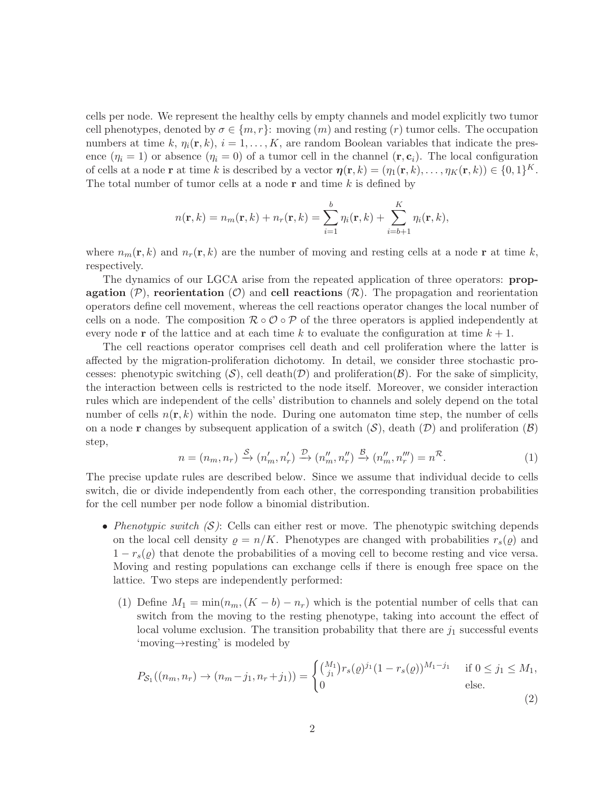cells per node. We represent the healthy cells by empty channels and model explicitly two tumor cell phenotypes, denoted by  $\sigma \in \{m, r\}$ : moving  $(m)$  and resting  $(r)$  tumor cells. The occupation numbers at time k,  $\eta_i(\mathbf{r}, k)$ ,  $i = 1, ..., K$ , are random Boolean variables that indicate the presence  $(\eta_i = 1)$  or absence  $(\eta_i = 0)$  of a tumor cell in the channel  $(\mathbf{r}, \mathbf{c}_i)$ . The local configuration of cells at a node **r** at time k is described by a vector  $\boldsymbol{\eta}(\mathbf{r},k) = (\eta_1(\mathbf{r},k), \dots, \eta_K(\mathbf{r},k)) \in \{0,1\}^K$ . The total number of tumor cells at a node  $\bf{r}$  and time k is defined by

$$
n(\mathbf{r},k) = n_m(\mathbf{r},k) + n_r(\mathbf{r},k) = \sum_{i=1}^b \eta_i(\mathbf{r},k) + \sum_{i=b+1}^K \eta_i(\mathbf{r},k),
$$

where  $n_m(\mathbf{r}, k)$  and  $n_r(\mathbf{r}, k)$  are the number of moving and resting cells at a node r at time k, respectively.

The dynamics of our LGCA arise from the repeated application of three operators: propagation  $(\mathcal{P})$ , reorientation  $(\mathcal{O})$  and cell reactions  $(\mathcal{R})$ . The propagation and reorientation operators define cell movement, whereas the cell reactions operator changes the local number of cells on a node. The composition  $\mathcal{R} \circ \mathcal{O} \circ \mathcal{P}$  of the three operators is applied independently at every node r of the lattice and at each time k to evaluate the configuration at time  $k + 1$ .

The cell reactions operator comprises cell death and cell proliferation where the latter is affected by the migration-proliferation dichotomy. In detail, we consider three stochastic processes: phenotypic switching  $(S)$ , cell death $(\mathcal{D})$  and proliferation( $\mathcal{B}$ ). For the sake of simplicity, the interaction between cells is restricted to the node itself. Moreover, we consider interaction rules which are independent of the cells' distribution to channels and solely depend on the total number of cells  $n(\mathbf{r}, k)$  within the node. During one automaton time step, the number of cells on a node **r** changes by subsequent application of a switch  $(S)$ , death  $(D)$  and proliferation  $(B)$ step,

$$
n = (n_m, n_r) \xrightarrow{S} (n'_m, n'_r) \xrightarrow{\mathcal{D}} (n''_m, n''_r) \xrightarrow{\mathcal{B}} (n''_m, n''_r) = n^{\mathcal{R}}.
$$
 (1)

The precise update rules are described below. Since we assume that individual decide to cells switch, die or divide independently from each other, the corresponding transition probabilities for the cell number per node follow a binomial distribution.

- Phenotypic switch  $(S)$ : Cells can either rest or move. The phenotypic switching depends on the local cell density  $\rho = n/K$ . Phenotypes are changed with probabilities  $r_s(\rho)$  and  $1 - r_s(\varrho)$  that denote the probabilities of a moving cell to become resting and vice versa. Moving and resting populations can exchange cells if there is enough free space on the lattice. Two steps are independently performed:
	- (1) Define  $M_1 = \min(n_m, (K b) n_r)$  which is the potential number of cells that can switch from the moving to the resting phenotype, taking into account the effect of local volume exclusion. The transition probability that there are  $j_1$  successful events 'moving→resting' is modeled by

<span id="page-15-0"></span>
$$
P_{\mathcal{S}_1}((n_m, n_r) \to (n_m - j_1, n_r + j_1)) = \begin{cases} {M_1 \choose j_1} r_s(\varrho)^{j_1} (1 - r_s(\varrho))^{M_1 - j_1} & \text{if } 0 \le j_1 \le M_1, \\ 0 & \text{else.} \end{cases} \tag{2}
$$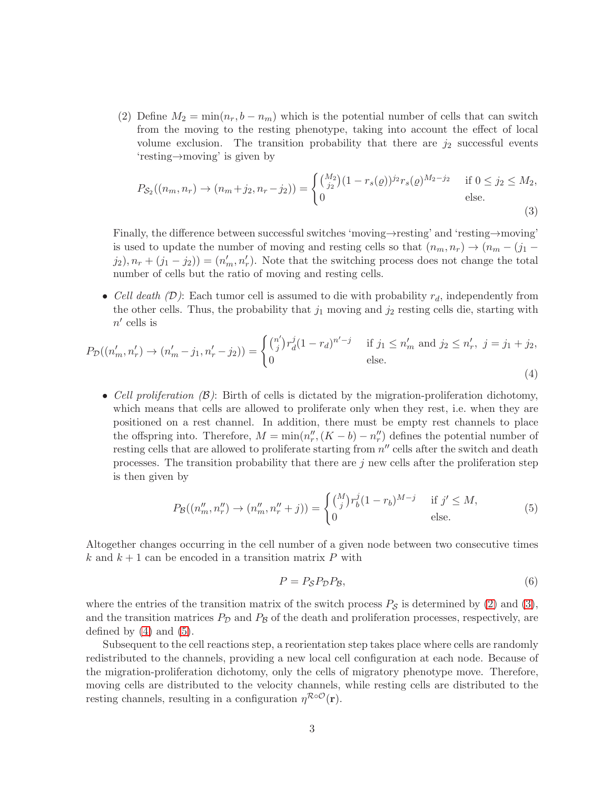(2) Define  $M_2 = \min(n_r, b - n_m)$  which is the potential number of cells that can switch from the moving to the resting phenotype, taking into account the effect of local volume exclusion. The transition probability that there are  $j_2$  successful events 'resting→moving' is given by

<span id="page-16-0"></span>
$$
P_{\mathcal{S}_2}((n_m, n_r) \to (n_m + j_2, n_r - j_2)) = \begin{cases} {M_2 \choose j_2} (1 - r_s(\varrho))^{j_2} r_s(\varrho)^{M_2 - j_2} & \text{if } 0 \le j_2 \le M_2, \\ 0 & \text{else.} \end{cases}
$$
(3)

Finally, the difference between successful switches 'moving→resting' and 'resting→moving' is used to update the number of moving and resting cells so that  $(n_m, n_r) \rightarrow (n_m - (j_1 (j_2)$ ,  $n_r + (j_1 - j_2)$  =  $(n'_m, n'_r)$ . Note that the switching process does not change the total number of cells but the ratio of moving and resting cells.

• Cell death  $(D)$ : Each tumor cell is assumed to die with probability  $r_d$ , independently from the other cells. Thus, the probability that  $j_1$  moving and  $j_2$  resting cells die, starting with  $n'$  cells is

<span id="page-16-1"></span>
$$
P_{\mathcal{D}}((n'_m, n'_r) \to (n'_m - j_1, n'_r - j_2)) = \begin{cases} {n' \choose j} r_d^j (1 - r_d)^{n'-j} & \text{if } j_1 \le n'_m \text{ and } j_2 \le n'_r, \ j = j_1 + j_2, \\ 0 & \text{else.} \end{cases}
$$
(4)

• Cell proliferation  $(\beta)$ : Birth of cells is dictated by the migration-proliferation dichotomy, which means that cells are allowed to proliferate only when they rest, i.e. when they are positioned on a rest channel. In addition, there must be empty rest channels to place the offspring into. Therefore,  $M = \min(n''_r, (K - b) - n''_r)$  defines the potential number of resting cells that are allowed to proliferate starting from  $n''$  cells after the switch and death processes. The transition probability that there are  $j$  new cells after the proliferation step is then given by

<span id="page-16-2"></span>
$$
P_{\mathcal{B}}((n''_m, n''_r) \to (n''_m, n''_r + j)) = \begin{cases} {M \choose j} r_b^j (1 - r_b)^{M - j} & \text{if } j' \le M, \\ 0 & \text{else.} \end{cases}
$$
(5)

Altogether changes occurring in the cell number of a given node between two consecutive times k and  $k + 1$  can be encoded in a transition matrix P with

<span id="page-16-3"></span>
$$
P = P_{\mathcal{S}} P_{\mathcal{D}} P_{\mathcal{B}},\tag{6}
$$

where the entries of the transition matrix of the switch process  $P_{\mathcal{S}}$  is determined by [\(2\)](#page-15-0) and [\(3\)](#page-16-0), and the transition matrices  $P_D$  and  $P_B$  of the death and proliferation processes, respectively, are defined by  $(4)$  and  $(5)$ .

Subsequent to the cell reactions step, a reorientation step takes place where cells are randomly redistributed to the channels, providing a new local cell configuration at each node. Because of the migration-proliferation dichotomy, only the cells of migratory phenotype move. Therefore, moving cells are distributed to the velocity channels, while resting cells are distributed to the resting channels, resulting in a configuration  $\eta^{\mathcal{R}\circ\mathcal{O}}(\mathbf{r}).$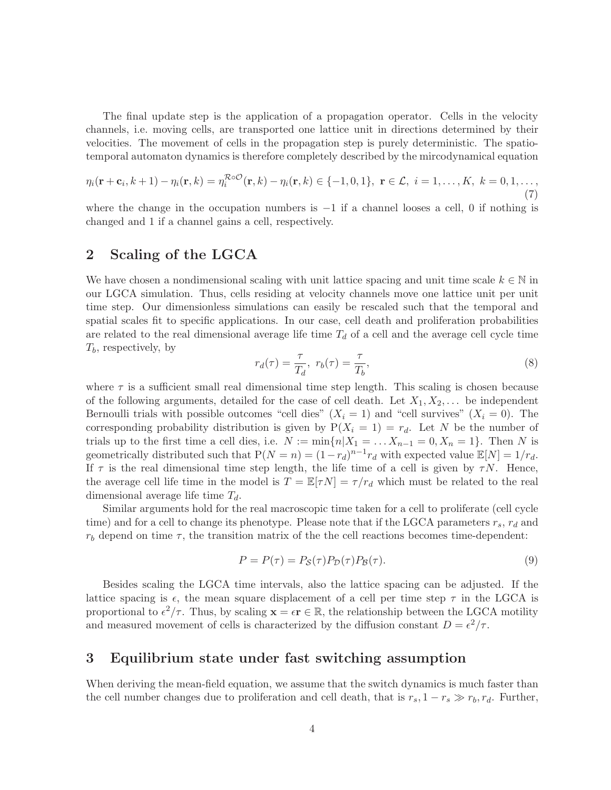The final update step is the application of a propagation operator. Cells in the velocity channels, i.e. moving cells, are transported one lattice unit in directions determined by their velocities. The movement of cells in the propagation step is purely deterministic. The spatiotemporal automaton dynamics is therefore completely described by the mircodynamical equation

$$
\eta_i(\mathbf{r}+\mathbf{c}_i,k+1) - \eta_i(\mathbf{r},k) = \eta_i^{\mathcal{R}\circ\mathcal{O}}(\mathbf{r},k) - \eta_i(\mathbf{r},k) \in \{-1,0,1\}, \ \mathbf{r}\in\mathcal{L}, \ i=1,\ldots,K, \ k=0,1,\ldots,\tag{7}
$$

where the change in the occupation numbers is  $-1$  if a channel looses a cell, 0 if nothing is changed and 1 if a channel gains a cell, respectively.

# <span id="page-17-1"></span>2 Scaling of the LGCA

We have chosen a nondimensional scaling with unit lattice spacing and unit time scale  $k \in \mathbb{N}$  in our LGCA simulation. Thus, cells residing at velocity channels move one lattice unit per unit time step. Our dimensionless simulations can easily be rescaled such that the temporal and spatial scales fit to specific applications. In our case, cell death and proliferation probabilities are related to the real dimensional average life time  $T_d$  of a cell and the average cell cycle time  $T_b$ , respectively, by

<span id="page-17-2"></span>
$$
r_d(\tau) = \frac{\tau}{T_d}, \ r_b(\tau) = \frac{\tau}{T_b}, \tag{8}
$$

where  $\tau$  is a sufficient small real dimensional time step length. This scaling is chosen because of the following arguments, detailed for the case of cell death. Let  $X_1, X_2, \ldots$  be independent Bernoulli trials with possible outcomes "cell dies"  $(X_i = 1)$  and "cell survives"  $(X_i = 0)$ . The corresponding probability distribution is given by  $P(X_i = 1) = r_d$ . Let N be the number of trials up to the first time a cell dies, i.e.  $N := \min\{n | X_1 = \ldots X_{n-1} = 0, X_n = 1\}$ . Then N is geometrically distributed such that  $P(N = n) = (1 - r_d)^{n-1} r_d$  with expected value  $\mathbb{E}[N] = 1/r_d$ . If  $\tau$  is the real dimensional time step length, the life time of a cell is given by  $\tau N$ . Hence, the average cell life time in the model is  $T = \mathbb{E}[\tau N] = \tau/r_d$  which must be related to the real dimensional average life time  $T_d$ .

Similar arguments hold for the real macroscopic time taken for a cell to proliferate (cell cycle time) and for a cell to change its phenotype. Please note that if the LGCA parameters  $r_s$ ,  $r_d$  and  $r_b$  depend on time  $\tau$ , the transition matrix of the the cell reactions becomes time-dependent:

$$
P = P(\tau) = P_{\mathcal{S}}(\tau)P_{\mathcal{D}}(\tau)P_{\mathcal{B}}(\tau). \tag{9}
$$

Besides scaling the LGCA time intervals, also the lattice spacing can be adjusted. If the lattice spacing is  $\epsilon$ , the mean square displacement of a cell per time step  $\tau$  in the LGCA is proportional to  $\epsilon^2/\tau$ . Thus, by scaling  $\mathbf{x} = \epsilon \mathbf{r} \in \mathbb{R}$ , the relationship between the LGCA motility and measured movement of cells is characterized by the diffusion constant  $D = \epsilon^2/\tau$ .

# <span id="page-17-0"></span>3 Equilibrium state under fast switching assumption

When deriving the mean-field equation, we assume that the switch dynamics is much faster than the cell number changes due to proliferation and cell death, that is  $r_s$ ,  $1 - r_s \gg r_b$ ,  $r_d$ . Further,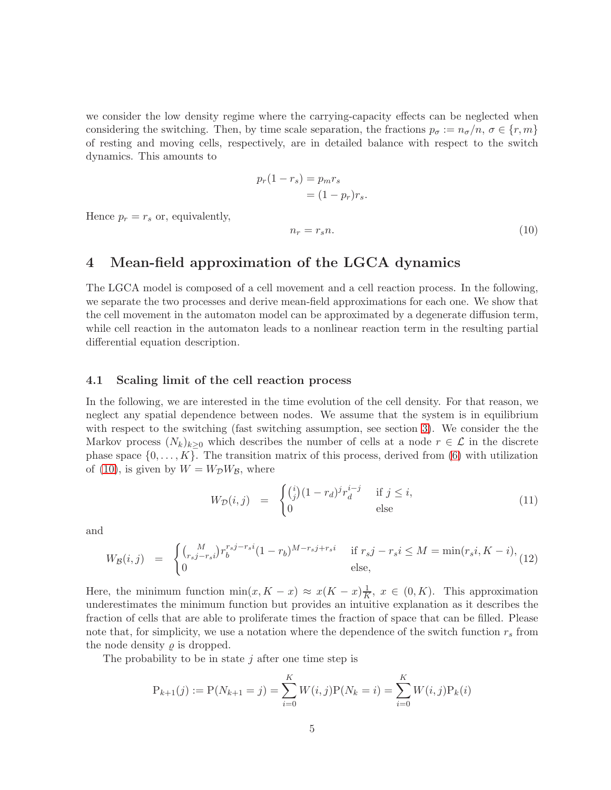we consider the low density regime where the carrying-capacity effects can be neglected when considering the switching. Then, by time scale separation, the fractions  $p_{\sigma} := n_{\sigma}/n$ ,  $\sigma \in \{r, m\}$ of resting and moving cells, respectively, are in detailed balance with respect to the switch dynamics. This amounts to

<span id="page-18-0"></span>
$$
p_r(1 - r_s) = p_m r_s
$$

$$
= (1 - p_r)r_s.
$$

$$
n_r = r_s n.
$$
(10)

Hence  $p_r = r_s$  or, equivalently,

# 4 Mean-field approximation of the LGCA dynamics

The LGCA model is composed of a cell movement and a cell reaction process. In the following, we separate the two processes and derive mean-field approximations for each one. We show that the cell movement in the automaton model can be approximated by a degenerate diffusion term, while cell reaction in the automaton leads to a nonlinear reaction term in the resulting partial differential equation description.

#### 4.1 Scaling limit of the cell reaction process

In the following, we are interested in the time evolution of the cell density. For that reason, we neglect any spatial dependence between nodes. We assume that the system is in equilibrium with respect to the switching (fast switching assumption, see section [3\)](#page-17-0). We consider the the Markov process  $(N_k)_{k>0}$  which describes the number of cells at a node  $r \in \mathcal{L}$  in the discrete phase space  $\{0, \ldots, K\}$ . The transition matrix of this process, derived from [\(6\)](#page-16-3) with utilization of [\(10\)](#page-18-0), is given by  $W = W_{\mathcal{D}}W_{\mathcal{B}}$ , where

$$
W_{\mathcal{D}}(i,j) = \begin{cases} \binom{i}{j}(1-r_d)^j r_d^{i-j} & \text{if } j \le i, \\ 0 & \text{else} \end{cases}
$$
(11)

and

$$
W_{\mathcal{B}}(i,j) = \begin{cases} {M \choose r_{s}j-r_{s}i} r_{b}^{r_{s}j-r_{s}i} (1-r_{b})^{M-r_{s}j+r_{s}i} & \text{if } r_{s}j-r_{s}i \leq M = \min(r_{s}i, K-i),\\ 0 & \text{else,} \end{cases}
$$
(12)

Here, the minimum function  $\min(x, K - x) \approx x(K - x) \frac{1}{K}$ ,  $x \in (0, K)$ . This approximation underestimates the minimum function but provides an intuitive explanation as it describes the fraction of cells that are able to proliferate times the fraction of space that can be filled. Please note that, for simplicity, we use a notation where the dependence of the switch function  $r_s$  from the node density  $\rho$  is dropped.

The probability to be in state  $j$  after one time step is

$$
P_{k+1}(j) := P(N_{k+1} = j) = \sum_{i=0}^{K} W(i,j)P(N_k = i) = \sum_{i=0}^{K} W(i,j)P_k(i)
$$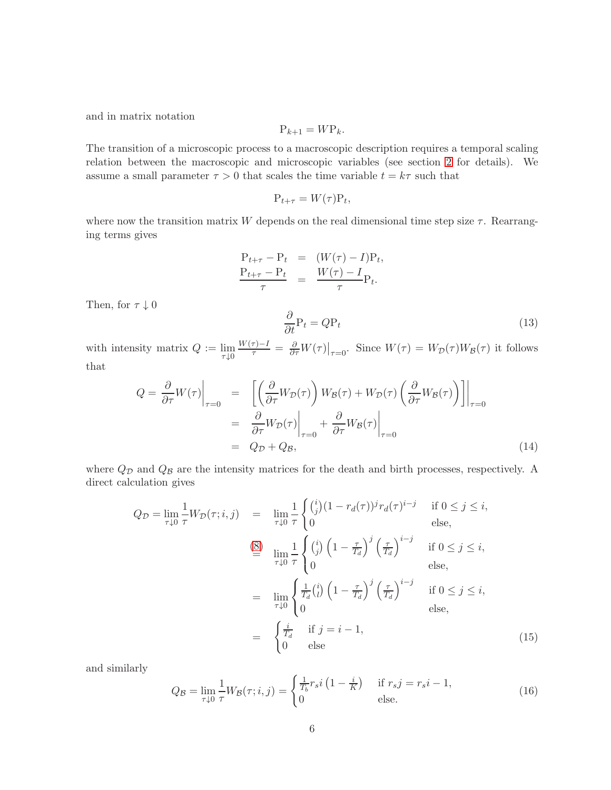and in matrix notation

$$
\mathbf{P}_{k+1} = W\mathbf{P}_k.
$$

The transition of a microscopic process to a macroscopic description requires a temporal scaling relation between the macroscopic and microscopic variables (see section [2](#page-17-1) for details). We assume a small parameter  $\tau > 0$  that scales the time variable  $t = k\tau$  such that

$$
\mathbf{P}_{t+\tau} = W(\tau)\mathbf{P}_t,
$$

where now the transition matrix W depends on the real dimensional time step size  $\tau$ . Rearranging terms gives

$$
\frac{P_{t+\tau} - P_t}{\tau} = \frac{(W(\tau) - I)P_t}{\tau},
$$
  

$$
\frac{P_{t+\tau} - P_t}{\tau} = \frac{W(\tau) - I}{\tau}P_t.
$$

Then, for  $\tau\downarrow 0$ 

<span id="page-19-0"></span>
$$
\frac{\partial}{\partial t} \mathbf{P}_t = Q \mathbf{P}_t \tag{13}
$$

with intensity matrix  $Q := \lim_{\tau \downarrow 0}$  $\frac{W(\tau)-I}{\tau} = \frac{\partial}{\partial \tau} W(\tau)\big|_{\tau=0}$ . Since  $W(\tau) = W_{\mathcal{D}}(\tau)W_{\mathcal{B}}(\tau)$  it follows that

<span id="page-19-1"></span>
$$
Q = \frac{\partial}{\partial \tau} W(\tau) \Big|_{\tau=0} = \left[ \left( \frac{\partial}{\partial \tau} W_{\mathcal{D}}(\tau) \right) W_{\mathcal{B}}(\tau) + W_{\mathcal{D}}(\tau) \left( \frac{\partial}{\partial \tau} W_{\mathcal{B}}(\tau) \right) \right] \Big|_{\tau=0}
$$
  

$$
= \left. \frac{\partial}{\partial \tau} W_{\mathcal{D}}(\tau) \right|_{\tau=0} + \left. \frac{\partial}{\partial \tau} W_{\mathcal{B}}(\tau) \right|_{\tau=0}
$$
  

$$
= Q_{\mathcal{D}} + Q_{\mathcal{B}}, \tag{14}
$$

where  $Q_{\mathcal{D}}$  and  $Q_{\mathcal{B}}$  are the intensity matrices for the death and birth processes, respectively. A direct calculation gives

<span id="page-19-2"></span>
$$
Q_{\mathcal{D}} = \lim_{\tau \downarrow 0} \frac{1}{\tau} W_{\mathcal{D}}(\tau; i, j) = \lim_{\tau \downarrow 0} \frac{1}{\tau} \begin{cases} \binom{i}{j} (1 - r_d(\tau))^j r_d(\tau)^{i - j} & \text{if } 0 \le j \le i, \\ 0 & \text{else,} \end{cases}
$$
\n
$$
\stackrel{\text{(8)}}{=} \lim_{\tau \downarrow 0} \frac{1}{\tau} \begin{cases} \binom{i}{j} \left(1 - \frac{\tau}{T_d}\right)^j \left(\frac{\tau}{T_d}\right)^{i - j} & \text{if } 0 \le j \le i, \\ 0 & \text{else,} \end{cases}
$$
\n
$$
= \lim_{\tau \downarrow 0} \begin{cases} \frac{1}{T_d} \binom{i}{l} \left(1 - \frac{\tau}{T_d}\right)^j \left(\frac{\tau}{T_d}\right)^{i - j} & \text{if } 0 \le j \le i, \\ 0 & \text{else,} \end{cases}
$$
\n
$$
= \begin{cases} \frac{i}{T_d} & \text{if } j = i - 1, \\ 0 & \text{else} \end{cases}
$$
\n
$$
(15)
$$

and similarly

<span id="page-19-3"></span>
$$
Q_{\mathcal{B}} = \lim_{\tau \downarrow 0} \frac{1}{\tau} W_{\mathcal{B}}(\tau; i, j) = \begin{cases} \frac{1}{T_b} r_s i \left(1 - \frac{i}{K}\right) & \text{if } r_s j = r_s i - 1, \\ 0 & \text{else.} \end{cases} \tag{16}
$$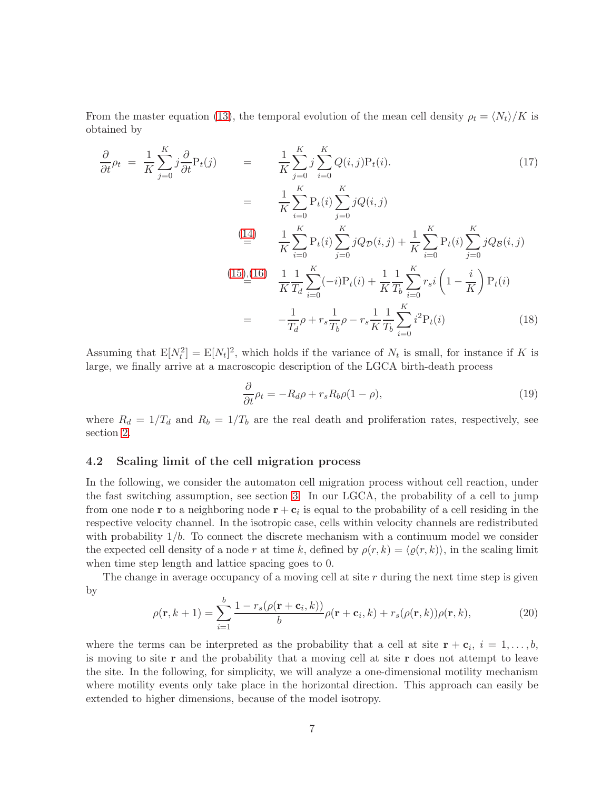From the master equation [\(13\)](#page-19-0), the temporal evolution of the mean cell density  $\rho_t = \langle N_t \rangle / K$  is obtained by

$$
\frac{\partial}{\partial t}\rho_{t} = \frac{1}{K} \sum_{j=0}^{K} j \frac{\partial}{\partial t} \mathbf{P}_{t}(j) = \frac{1}{K} \sum_{j=0}^{K} j \sum_{i=0}^{K} Q(i,j) \mathbf{P}_{t}(i). \tag{17}
$$
\n
$$
= \frac{1}{K} \sum_{i=0}^{K} \mathbf{P}_{t}(i) \sum_{j=0}^{K} j Q(i,j)
$$
\n
$$
\stackrel{\text{(14)}}{=} \frac{1}{K} \sum_{i=0}^{K} \mathbf{P}_{t}(i) \sum_{j=0}^{K} j Q_{\mathcal{D}}(i,j) + \frac{1}{K} \sum_{i=0}^{K} \mathbf{P}_{t}(i) \sum_{j=0}^{K} j Q_{\mathcal{B}}(i,j)
$$
\n
$$
\stackrel{\text{(15),(16)}}{=} \frac{1}{K} \frac{1}{T_{d}} \sum_{i=0}^{K} (-i) \mathbf{P}_{t}(i) + \frac{1}{K} \frac{1}{T_{b}} \sum_{i=0}^{K} r_{s} i \left(1 - \frac{i}{K}\right) \mathbf{P}_{t}(i)
$$
\n
$$
= -\frac{1}{T_{d}} \rho + r_{s} \frac{1}{T_{b}} \rho - r_{s} \frac{1}{K} \frac{1}{T_{b}} \sum_{i=0}^{K} i^{2} \mathbf{P}_{t}(i) \tag{18}
$$

Assuming that  $E[N_t^2] = E[N_t]^2$ , which holds if the variance of  $N_t$  is small, for instance if K is large, we finally arrive at a macroscopic description of the LGCA birth-death process

$$
\frac{\partial}{\partial t}\rho_t = -R_d\rho + r_s R_b \rho (1 - \rho),\tag{19}
$$

where  $R_d = 1/T_d$  and  $R_b = 1/T_b$  are the real death and proliferation rates, respectively, see section [2.](#page-17-1)

#### <span id="page-20-0"></span>4.2 Scaling limit of the cell migration process

In the following, we consider the automaton cell migration process without cell reaction, under the fast switching assumption, see section [3.](#page-17-0) In our LGCA, the probability of a cell to jump from one node **r** to a neighboring node  $\mathbf{r} + \mathbf{c}_i$  is equal to the probability of a cell residing in the respective velocity channel. In the isotropic case, cells within velocity channels are redistributed with probability  $1/b$ . To connect the discrete mechanism with a continuum model we consider the expected cell density of a node r at time k, defined by  $\rho(r, k) = \langle \varrho(r, k) \rangle$ , in the scaling limit when time step length and lattice spacing goes to 0.

The change in average occupancy of a moving cell at site  $r$  during the next time step is given by

$$
\rho(\mathbf{r},k+1) = \sum_{i=1}^{b} \frac{1 - r_s(\rho(\mathbf{r} + \mathbf{c}_i, k))}{b} \rho(\mathbf{r} + \mathbf{c}_i, k) + r_s(\rho(\mathbf{r}, k)) \rho(\mathbf{r}, k),
$$
\n(20)

where the terms can be interpreted as the probability that a cell at site  $\mathbf{r} + \mathbf{c}_i$ ,  $i = 1, \ldots, b$ , is moving to site  $\bf{r}$  and the probability that a moving cell at site  $\bf{r}$  does not attempt to leave the site. In the following, for simplicity, we will analyze a one-dimensional motility mechanism where motility events only take place in the horizontal direction. This approach can easily be extended to higher dimensions, because of the model isotropy.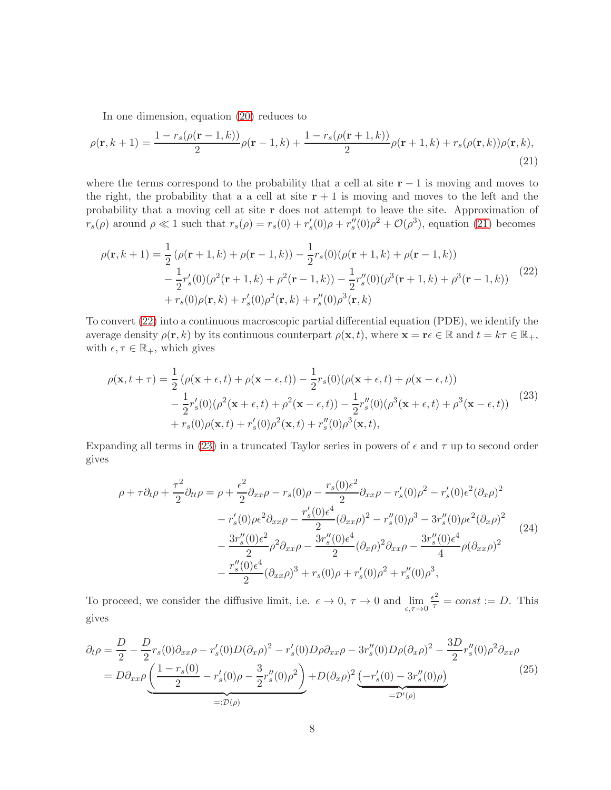In one dimension, equation [\(20\)](#page-20-0) reduces to

$$
\rho(\mathbf{r},k+1) = \frac{1 - r_s(\rho(\mathbf{r}-1,k))}{2}\rho(\mathbf{r}-1,k) + \frac{1 - r_s(\rho(\mathbf{r}+1,k))}{2}\rho(\mathbf{r}+1,k) + r_s(\rho(\mathbf{r},k))\rho(\mathbf{r},k),
$$
\n(21)

where the terms correspond to the probability that a cell at site  $r - 1$  is moving and moves to the right, the probability that a a cell at site  $r + 1$  is moving and moves to the left and the probability that a moving cell at site r does not attempt to leave the site. Approximation of  $r_s(\rho)$  around  $\rho \ll 1$  such that  $r_s(\rho) = r_s(0) + r'_s(0)\rho + r''_s(0)\rho^2 + \mathcal{O}(\rho^3)$ , equation [\(21\)](#page-20-0) becomes

$$
\rho(\mathbf{r},k+1) = \frac{1}{2} \left( \rho(\mathbf{r}+1,k) + \rho(\mathbf{r}-1,k) \right) - \frac{1}{2} r_s(0) (\rho(\mathbf{r}+1,k) + \rho(\mathbf{r}-1,k)) \n- \frac{1}{2} r_s'(0) (\rho^2(\mathbf{r}+1,k) + \rho^2(\mathbf{r}-1,k)) - \frac{1}{2} r_s''(0) (\rho^3(\mathbf{r}+1,k) + \rho^3(\mathbf{r}-1,k)) \n+ r_s(0) \rho(\mathbf{r},k) + r_s'(0) \rho^2(\mathbf{r},k) + r_s''(0) \rho^3(\mathbf{r},k)
$$
\n(22)

To convert [\(22\)](#page-20-0) into a continuous macroscopic partial differential equation (PDE), we identify the average density  $\rho(\mathbf{r},k)$  by its continuous counterpart  $\rho(\mathbf{x},t)$ , where  $\mathbf{x} = \mathbf{r} \in \mathbb{R}$  and  $t = k\tau \in \mathbb{R}_+$ , with  $\epsilon, \tau \in \mathbb{R}_+$ , which gives

$$
\rho(\mathbf{x}, t + \tau) = \frac{1}{2} \left( \rho(\mathbf{x} + \epsilon, t) + \rho(\mathbf{x} - \epsilon, t) \right) - \frac{1}{2} r_s(0) (\rho(\mathbf{x} + \epsilon, t) + \rho(\mathbf{x} - \epsilon, t)) \n- \frac{1}{2} r'_s(0) (\rho^2(\mathbf{x} + \epsilon, t) + \rho^2(\mathbf{x} - \epsilon, t)) - \frac{1}{2} r''_s(0) (\rho^3(\mathbf{x} + \epsilon, t) + \rho^3(\mathbf{x} - \epsilon, t)) \n+ r_s(0) \rho(\mathbf{x}, t) + r'_s(0) \rho^2(\mathbf{x}, t) + r''_s(0) \rho^3(\mathbf{x}, t),
$$
\n(23)

Expanding all terms in [\(23\)](#page-20-0) in a truncated Taylor series in powers of  $\epsilon$  and  $\tau$  up to second order gives

$$
\rho + \tau \partial_t \rho + \frac{\tau^2}{2} \partial_{tt} \rho = \rho + \frac{\epsilon^2}{2} \partial_{xx} \rho - r_s(0) \rho - \frac{r_s(0)\epsilon^2}{2} \partial_{xx} \rho - r'_s(0) \rho^2 - r'_s(0)\epsilon^2 (\partial_x \rho)^2 \n- r'_s(0) \rho \epsilon^2 \partial_{xx} \rho - \frac{r'_s(0)\epsilon^4}{2} (\partial_{xx} \rho)^2 - r''_s(0) \rho^3 - 3r''_s(0) \rho \epsilon^2 (\partial_x \rho)^2 \n- \frac{3r''_s(0)\epsilon^2}{2} \rho^2 \partial_{xx} \rho - \frac{3r''_s(0)\epsilon^4}{2} (\partial_x \rho)^2 \partial_{xx} \rho - \frac{3r''_s(0)\epsilon^4}{4} \rho (\partial_{xx} \rho)^2 \n- \frac{r''_s(0)\epsilon^4}{2} (\partial_{xx} \rho)^3 + r_s(0) \rho + r'_s(0) \rho^2 + r''_s(0) \rho^3,
$$
\n(24)

To proceed, we consider the diffusive limit, i.e.  $\epsilon \to 0$ ,  $\tau \to 0$  and  $\lim_{\epsilon, \tau \to 0}$  $\frac{\epsilon^2}{\tau} = const := D.$  This gives

$$
\partial_t \rho = \frac{D}{2} - \frac{D}{2} r_s(0) \partial_{xx} \rho - r'_s(0) D(\partial_x \rho)^2 - r'_s(0) D\rho \partial_{xx} \rho - 3r''_s(0) D\rho (\partial_x \rho)^2 - \frac{3D}{2} r''_s(0) \rho^2 \partial_{xx} \rho \n= D \partial_{xx} \rho \underbrace{\left(\frac{1 - r_s(0)}{2} - r'_s(0) \rho - \frac{3}{2} r''_s(0) \rho^2\right)}_{=: \mathcal{D}(\rho)} + D(\partial_x \rho)^2 \underbrace{\left(-r'_s(0) - 3r''_s(0) \rho\right)}_{= \mathcal{D}'(\rho)}
$$
\n(25)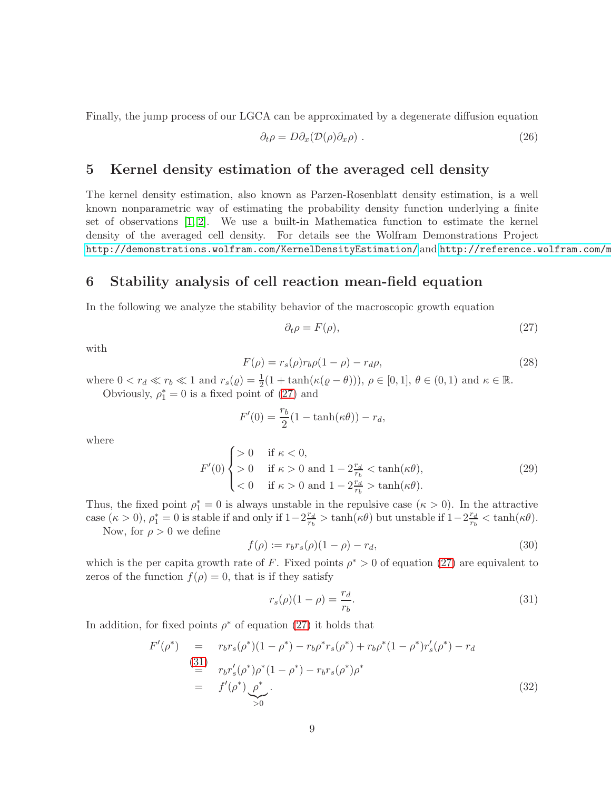Finally, the jump process of our LGCA can be approximated by a degenerate diffusion equation

$$
\partial_t \rho = D \partial_x (\mathcal{D}(\rho) \partial_x \rho) \tag{26}
$$

## 5 Kernel density estimation of the averaged cell density

The kernel density estimation, also known as Parzen-Rosenblatt density estimation, is a well known nonparametric way of estimating the probability density function underlying a finite set of observations [\[1,](#page-23-0) [2\]](#page-23-1). We use a built-in Mathematica function to estimate the kernel density of the averaged cell density. For details see the Wolfram Demonstrations Project <http://demonstrations.wolfram.com/KernelDensityEstimation/> and http://reference.wolfram.com/m

## 6 Stability analysis of cell reaction mean-field equation

In the following we analyze the stability behavior of the macroscopic growth equation

<span id="page-22-0"></span>
$$
\partial_t \rho = F(\rho),\tag{27}
$$

with

<span id="page-22-2"></span>
$$
F(\rho) = r_s(\rho)r_b\rho(1-\rho) - r_d\rho,
$$
\n(28)

where  $0 < r_d \ll r_b \ll 1$  and  $r_s(\varrho) = \frac{1}{2}(1 + \tanh(\kappa(\varrho - \theta))), \, \rho \in [0, 1], \, \theta \in (0, 1)$  and  $\kappa \in \mathbb{R}$ .

Obviously,  $\rho_1^* = 0$  is a fixed point of [\(27\)](#page-22-0) and

$$
F'(0) = \frac{r_b}{2}(1 - \tanh(\kappa \theta)) - r_d,
$$

where

$$
F'(0) \begin{cases} > 0 & \text{if } \kappa < 0, \\ > 0 & \text{if } \kappa > 0 \text{ and } 1 - 2\frac{r_d}{r_b} < \tanh(\kappa\theta), \\ < 0 & \text{if } \kappa > 0 \text{ and } 1 - 2\frac{r_d}{r_b} > \tanh(\kappa\theta). \end{cases}
$$
(29)

Thus, the fixed point  $\rho_1^* = 0$  is always unstable in the repulsive case  $(\kappa > 0)$ . In the attractive case  $(\kappa > 0)$ ,  $\rho_1^* = 0$  is stable if and only if  $1 - 2\frac{r_d}{r_b}$  $\frac{r_d}{r_b} > \tanh(\kappa\theta)$  but unstable if  $1-2\frac{r_d}{r_b}$  $\frac{r_d}{r_b} < \tanh(\kappa\theta).$ Now, for  $\rho > 0$  we define

<span id="page-22-3"></span>
$$
f(\rho) := r_b r_s(\rho)(1 - \rho) - r_d,
$$
\n(30)

which is the per capita growth rate of F. Fixed points  $\rho^* > 0$  of equation [\(27\)](#page-22-0) are equivalent to zeros of the function  $f(\rho) = 0$ , that is if they satisfy

<span id="page-22-1"></span>
$$
r_s(\rho)(1-\rho) = \frac{r_d}{r_b}.\tag{31}
$$

In addition, for fixed points  $\rho^*$  of equation [\(27\)](#page-22-0) it holds that

$$
F'(\rho^*) = r_b r_s(\rho^*)(1 - \rho^*) - r_b \rho^* r_s(\rho^*) + r_b \rho^* (1 - \rho^*) r_s'(\rho^*) - r_d
$$
  
\n
$$
\stackrel{(31)}{=} r_b r_s'(\rho^*) \rho^* (1 - \rho^*) - r_b r_s(\rho^*) \rho^*
$$
  
\n
$$
= f'(\rho^*) \underbrace{\rho^*}_{>0}.
$$
  
\n(32)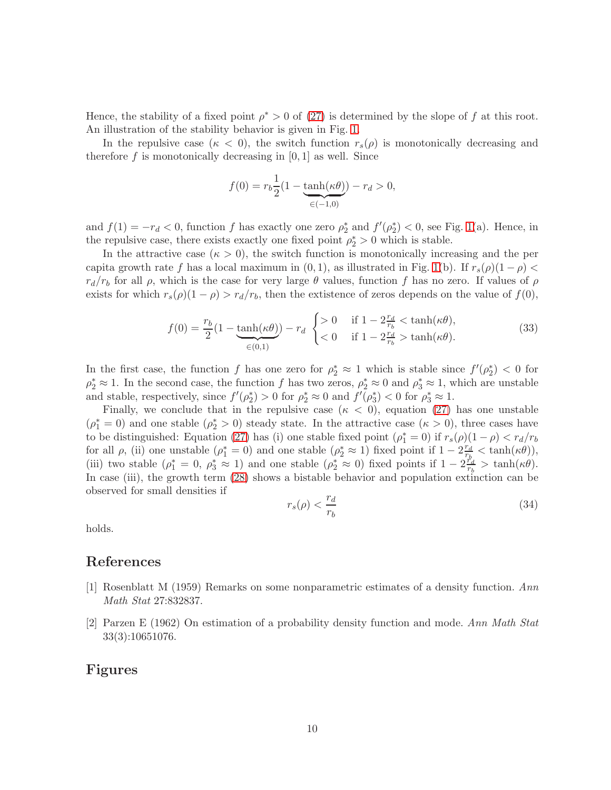Hence, the stability of a fixed point  $\rho^* > 0$  of [\(27\)](#page-22-0) is determined by the slope of f at this root. An illustration of the stability behavior is given in Fig. [1.](#page-24-0)

In the repulsive case  $(\kappa < 0)$ , the switch function  $r_s(\rho)$  is monotonically decreasing and therefore f is monotonically decreasing in  $[0, 1]$  as well. Since

$$
f(0) = r_b \frac{1}{2} (1 - \underbrace{\tanh(\kappa \theta)}_{\in (-1,0)}) - r_d > 0,
$$

and  $f(1) = -r_d < 0$ , function f has exactly one zero  $\rho_2^*$  and  $f'(\rho_2^*) < 0$ , see Fig. [1\(](#page-24-0)a). Hence, in the repulsive case, there exists exactly one fixed point  $\rho_2^* > 0$  which is stable.

In the attractive case  $(\kappa > 0)$ , the switch function is monotonically increasing and the per capita growth rate f has a local maximum in  $(0, 1)$ , as illustrated in Fig. [1\(](#page-24-0)b). If  $r_s(\rho)(1 - \rho)$  $r_d/r_b$  for all  $\rho$ , which is the case for very large  $\theta$  values, function f has no zero. If values of  $\rho$ exists for which  $r_s(\rho)(1 - \rho) > r_d/r_b$ , then the extistence of zeros depends on the value of  $f(0)$ ,

$$
f(0) = \frac{r_b}{2} \left(1 - \underbrace{\tanh(\kappa \theta)}_{\in (0,1)}\right) - r_d \begin{cases} > 0 & \text{if } 1 - 2\frac{r_d}{r_b} < \tanh(\kappa \theta), \\ < 0 & \text{if } 1 - 2\frac{r_d}{r_b} > \tanh(\kappa \theta). \end{cases} \tag{33}
$$

In the first case, the function f has one zero for  $\rho_2^* \approx 1$  which is stable since  $f'(\rho_2^*) < 0$  for  $\rho_2^* \approx 1$ . In the second case, the function f has two zeros,  $\rho_2^* \approx 0$  and  $\rho_3^* \approx 1$ , which are unstable and stable, respectively, since  $f'(\rho_2^*) > 0$  for  $\rho_2^* \approx 0$  and  $f'(\rho_3^*) < 0$  for  $\rho_3^* \approx 1$ .

Finally, we conclude that in the repulsive case  $(\kappa < 0)$ , equation [\(27\)](#page-22-0) has one unstable  $(\rho_1^* = 0)$  and one stable  $(\rho_2^* > 0)$  steady state. In the attractive case  $(\kappa > 0)$ , three cases have to be distinguished: Equation [\(27\)](#page-22-0) has (i) one stable fixed point  $(\rho_1^* = 0)$  if  $r_s(\rho)(1 - \rho) < r_d/r_b$ for all  $\rho$ , (ii) one unstable  $(\rho_1^* = 0)$  and one stable  $(\rho_2^* \approx 1)$  fixed point if  $1 - 2\frac{r_d}{r_b}$  $\frac{r_d}{r_b} < \tanh(\kappa\theta)),$ (iii) two stable  $(\rho_1^* = 0, \rho_3^* \approx 1)$  and one stable  $(\rho_2^* \approx 0)$  fixed points if  $1 - 2\frac{r_q^2}{r_b}$  $\frac{r_d}{r_b} > \tanh(\kappa\theta).$ In case (iii), the growth term  $(28)$  shows a bistable behavior and population extinction can be observed for small densities if

$$
r_s(\rho) < \frac{r_d}{r_b} \tag{34}
$$

holds.

## <span id="page-23-0"></span>References

- <span id="page-23-1"></span>[1] Rosenblatt M (1959) Remarks on some nonparametric estimates of a density function. Ann Math Stat 27:832837.
- [2] Parzen E (1962) On estimation of a probability density function and mode. Ann Math Stat 33(3):10651076.

### Figures